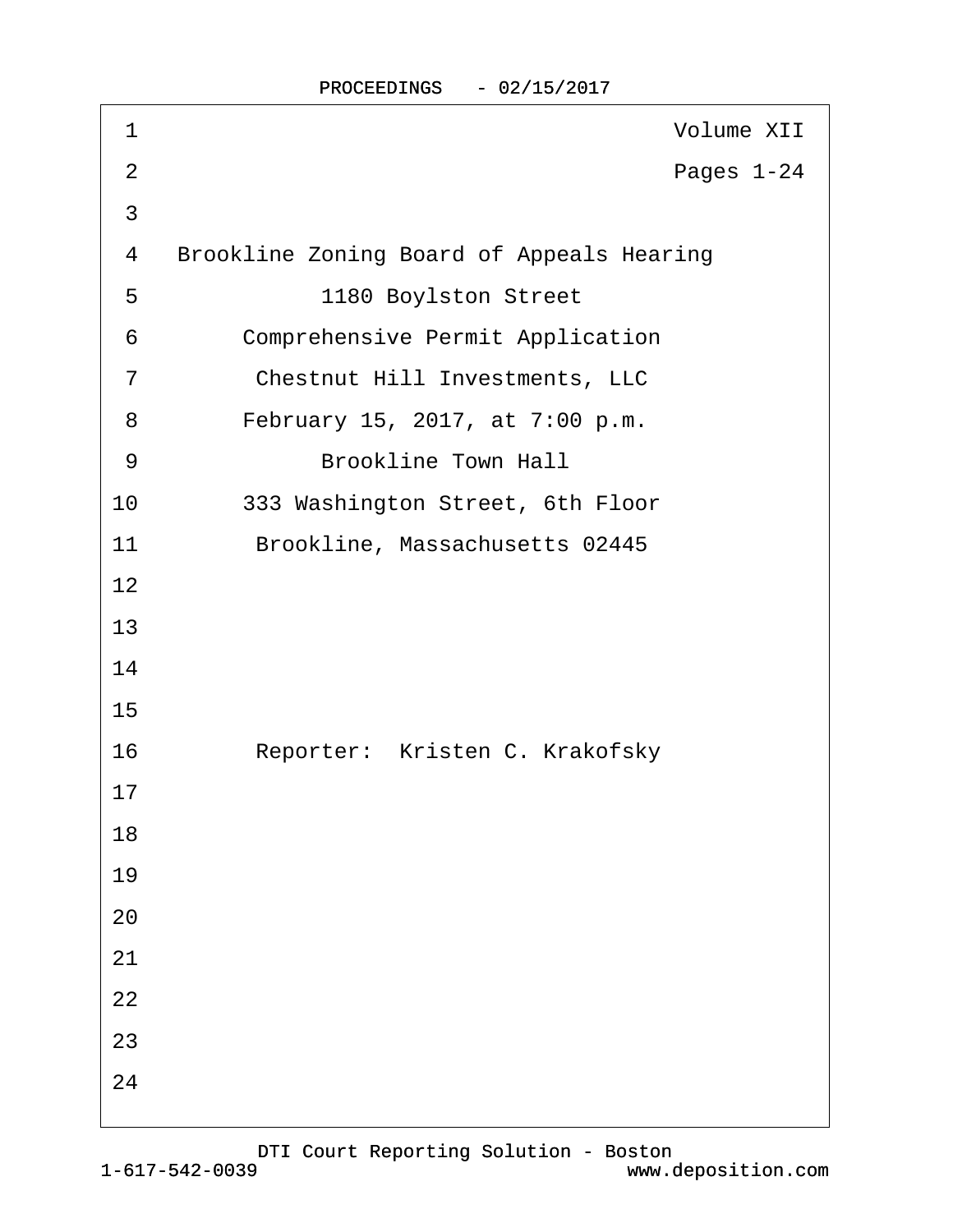| 1              | <b>Volume XII</b>                                |
|----------------|--------------------------------------------------|
| $\overline{2}$ | Pages 1-24                                       |
| 3              |                                                  |
| 4              | <b>Brookline Zoning Board of Appeals Hearing</b> |
| 5              | 1180 Boylston Street                             |
| 6              | <b>Comprehensive Permit Application</b>          |
| $\overline{7}$ | <b>Chestnut Hill Investments, LLC</b>            |
| 8              | February 15, 2017, at 7:00 p.m.                  |
| 9              | <b>Brookline Town Hall</b>                       |
| 10             | 333 Washington Street, 6th Floor                 |
| 11             | Brookline, Massachusetts 02445                   |
| 12             |                                                  |
| 13             |                                                  |
| 14             |                                                  |
| 15             |                                                  |
| 16             | Reporter: Kristen C. Krakofsky                   |
| 17             |                                                  |
| 18             |                                                  |
| 19             |                                                  |
| 20             |                                                  |
| 21             |                                                  |
| 22             |                                                  |
| 23             |                                                  |
| 24             |                                                  |
|                |                                                  |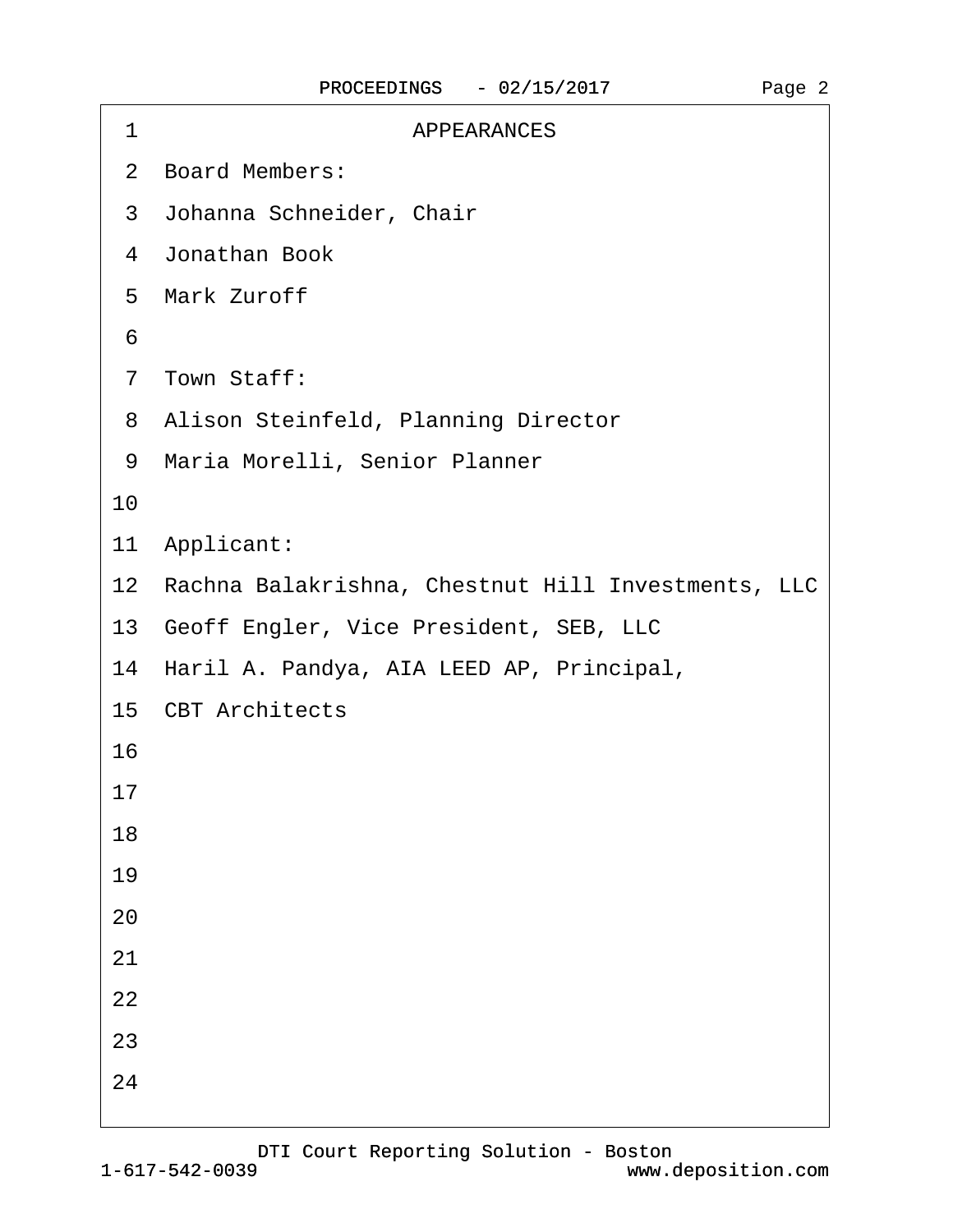| <b>APPEARANCES</b><br>1                               |
|-------------------------------------------------------|
| 2 Board Members:                                      |
| 3 Johanna Schneider, Chair                            |
| 4 Jonathan Book                                       |
| 5 Mark Zuroff                                         |
| 6                                                     |
| 7 Town Staff:                                         |
| 8 Alison Steinfeld, Planning Director                 |
| 9 Maria Morelli, Senior Planner                       |
| 10                                                    |
| 11 Applicant:                                         |
| 12 Rachna Balakrishna, Chestnut Hill Investments, LLC |
| 13 Geoff Engler, Vice President, SEB, LLC             |
| 14 Haril A. Pandya, AIA LEED AP, Principal,           |
| 15 CBT Architects                                     |
| 16                                                    |
| 17                                                    |
| 18                                                    |
| 19                                                    |
| 20                                                    |
| 21                                                    |
| 22                                                    |
| 23                                                    |
| 24                                                    |
|                                                       |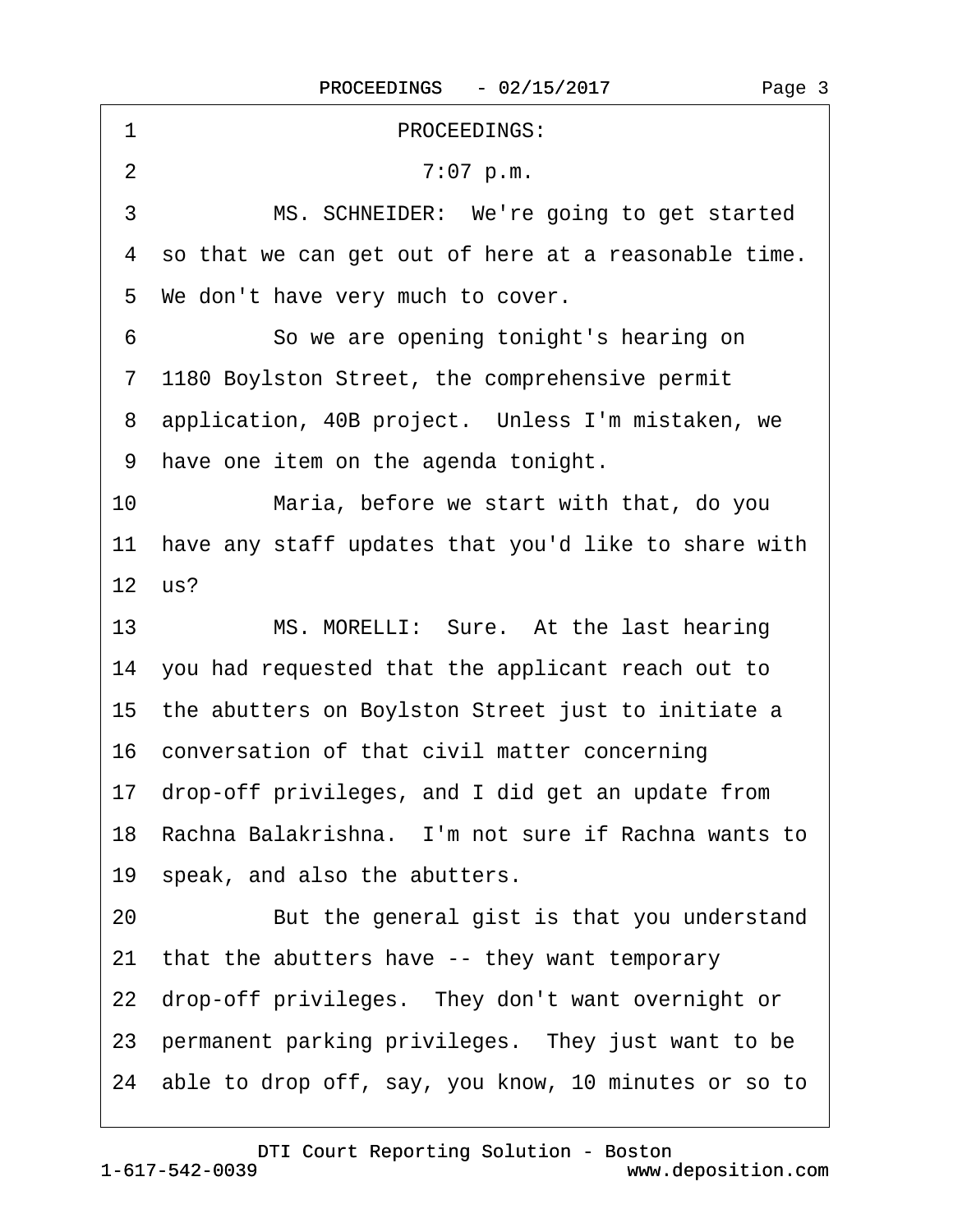| PROCEEDINGS:<br>1                                       |
|---------------------------------------------------------|
| 2<br>7:07 p.m.                                          |
| 3<br>MS. SCHNEIDER: We're going to get started          |
| 4 so that we can get out of here at a reasonable time.  |
| 5 We don't have very much to cover.                     |
| 6<br>So we are opening tonight's hearing on             |
| 7 1180 Boylston Street, the comprehensive permit        |
| 8 application, 40B project. Unless I'm mistaken, we     |
| 9 have one item on the agenda tonight.                  |
| 10<br>Maria, before we start with that, do you          |
| 11 have any staff updates that you'd like to share with |
| 12 us?                                                  |
| 13<br>MS. MORELLI: Sure. At the last hearing            |
| 14 you had requested that the applicant reach out to    |
|                                                         |
| 15 the abutters on Boylston Street just to initiate a   |
| 16 conversation of that civil matter concerning         |
| 17 drop-off privileges, and I did get an update from    |
| 18 Rachna Balakrishna. I'm not sure if Rachna wants to  |
| 19 speak, and also the abutters.                        |
| But the general gist is that you understand<br>20       |
| that the abutters have -- they want temporary<br>21     |
| 22 drop-off privileges. They don't want overnight or    |
| 23 permanent parking privileges. They just want to be   |

<span id="page-2-0"></span> $\Gamma$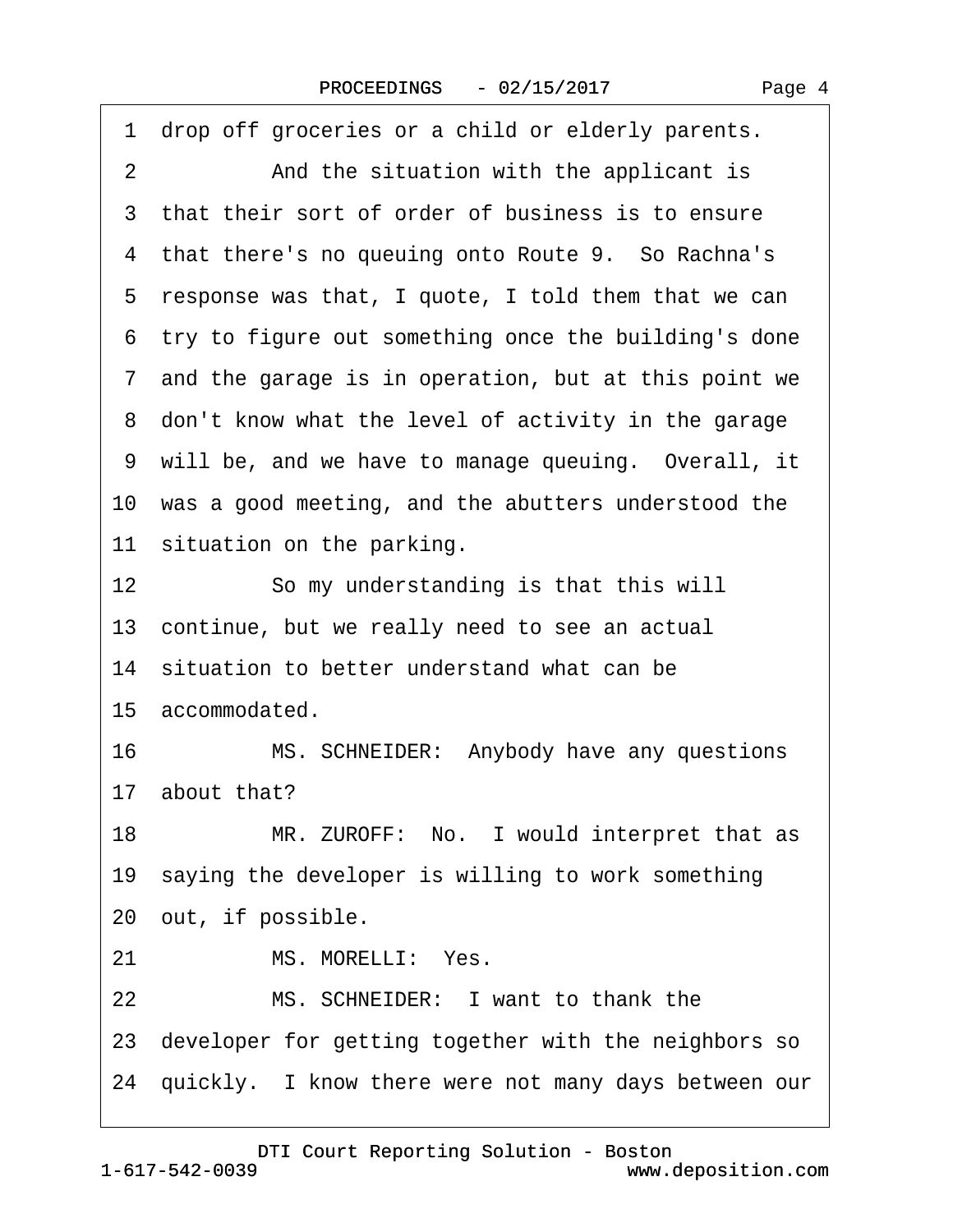<span id="page-3-0"></span>

| 1 drop off groceries or a child or elderly parents.     |  |
|---------------------------------------------------------|--|
| And the situation with the applicant is<br>2            |  |
| 3 that their sort of order of business is to ensure     |  |
| 4 that there's no queuing onto Route 9. So Rachna's     |  |
| 5 response was that, I quote, I told them that we can   |  |
| 6 try to figure out something once the building's done  |  |
| 7 and the garage is in operation, but at this point we  |  |
| 8 don't know what the level of activity in the garage   |  |
| 9 will be, and we have to manage queuing. Overall, it   |  |
| 10 was a good meeting, and the abutters understood the  |  |
| 11 situation on the parking.                            |  |
| 12<br>So my understanding is that this will             |  |
| 13 continue, but we really need to see an actual        |  |
| 14 situation to better understand what can be           |  |
| 15 accommodated.                                        |  |
| 16<br>MS. SCHNEIDER: Anybody have any questions         |  |
| 17 about that?                                          |  |
| MR. ZUROFF: No. I would interpret that as<br>18         |  |
| 19 saying the developer is willing to work something    |  |
| 20 out, if possible.                                    |  |
| MS. MORELLI: Yes.<br>21                                 |  |
| MS. SCHNEIDER: I want to thank the<br>22                |  |
| 23 developer for getting together with the neighbors so |  |
|                                                         |  |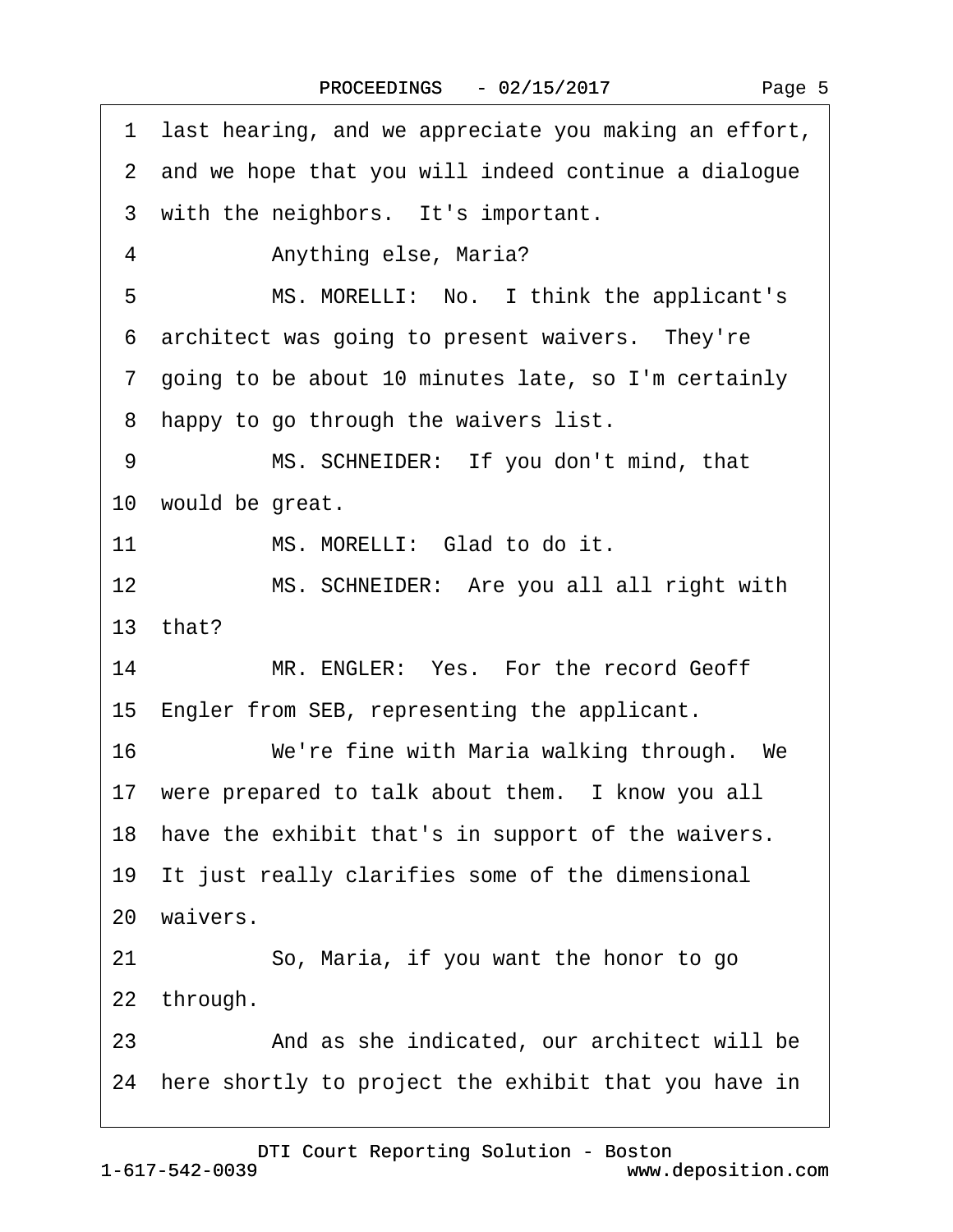<span id="page-4-0"></span>

| last hearing, and we appreciate you making an effort,<br>1 |
|------------------------------------------------------------|
| 2 and we hope that you will indeed continue a dialogue     |
| 3 with the neighbors. It's important.                      |
| Anything else, Maria?<br>4                                 |
| 5<br>MS. MORELLI: No. I think the applicant's              |
| 6 architect was going to present waivers. They're          |
| 7 going to be about 10 minutes late, so I'm certainly      |
| happy to go through the waivers list.<br>8                 |
| 9<br>MS. SCHNEIDER: If you don't mind, that                |
| 10 would be great.                                         |
| MS. MORELLI: Glad to do it.<br>11                          |
| MS. SCHNEIDER: Are you all all right with<br>12            |
| 13 that?                                                   |
| MR. ENGLER: Yes. For the record Geoff<br>14                |
| 15 Engler from SEB, representing the applicant.            |
| We're fine with Maria walking through. We<br>16            |
| 17 were prepared to talk about them. I know you all        |
| 18 have the exhibit that's in support of the waivers.      |
| 19 It just really clarifies some of the dimensional        |
| 20 waivers.                                                |
| 21<br>So, Maria, if you want the honor to go               |
| 22 through.                                                |
| And as she indicated, our architect will be<br>23          |
| 24 here shortly to project the exhibit that you have in    |
|                                                            |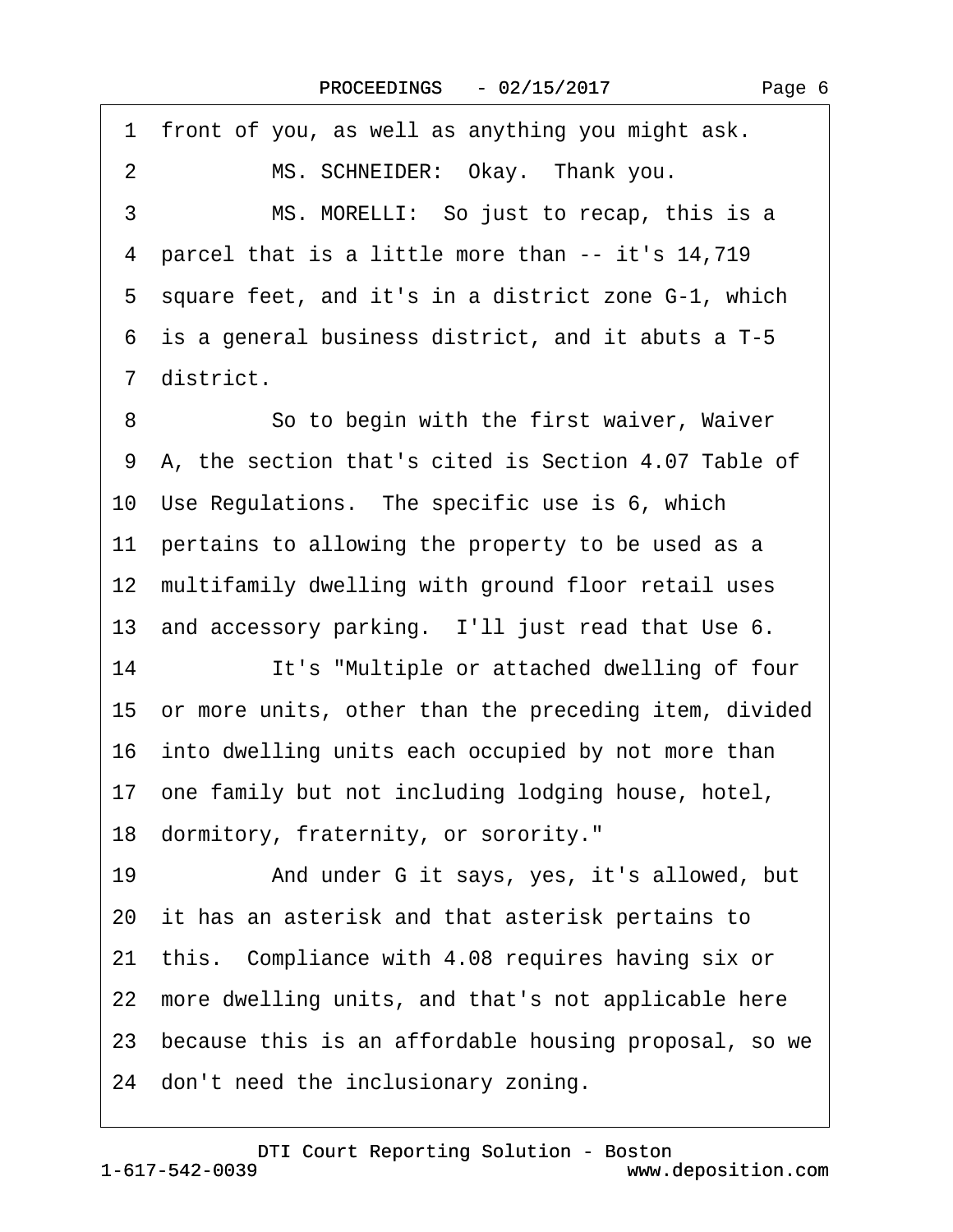<span id="page-5-0"></span>·1· front of you, as well as anything you might ask. 2 MS. SCHNEIDER: Okay. Thank you. 3 MS. MORELLI: So just to recap, this is a ·4· parcel that is a little more than -- it's 14,719 5 square feet, and it's in a district zone G-1, which ·6· is a general business district, and it abuts a T-5 ·7· district. 8 **8** · **So to begin with the first waiver, Waiver** 9 A, the section that's cited is Section 4.07 Table of 10 Use Regulations. The specific use is 6, which 11 pertains to allowing the property to be used as a 12 multifamily dwelling with ground floor retail uses 13 and accessory parking. I'll just read that Use 6. 14 It's "Multiple or attached dwelling of four 15 or more units, other than the preceding item, divided 16 into dwelling units each occupied by not more than 17· one family but not including lodging house, hotel, 18· dormitory, fraternity, or sorority." 19 • And under G it says, yes, it's allowed, but 20 it has an asterisk and that asterisk pertains to 21· this.· Compliance with 4.08 requires having six or 22 more dwelling units, and that's not applicable here 23 because this is an affordable housing proposal, so we 24 don't need the inclusionary zoning.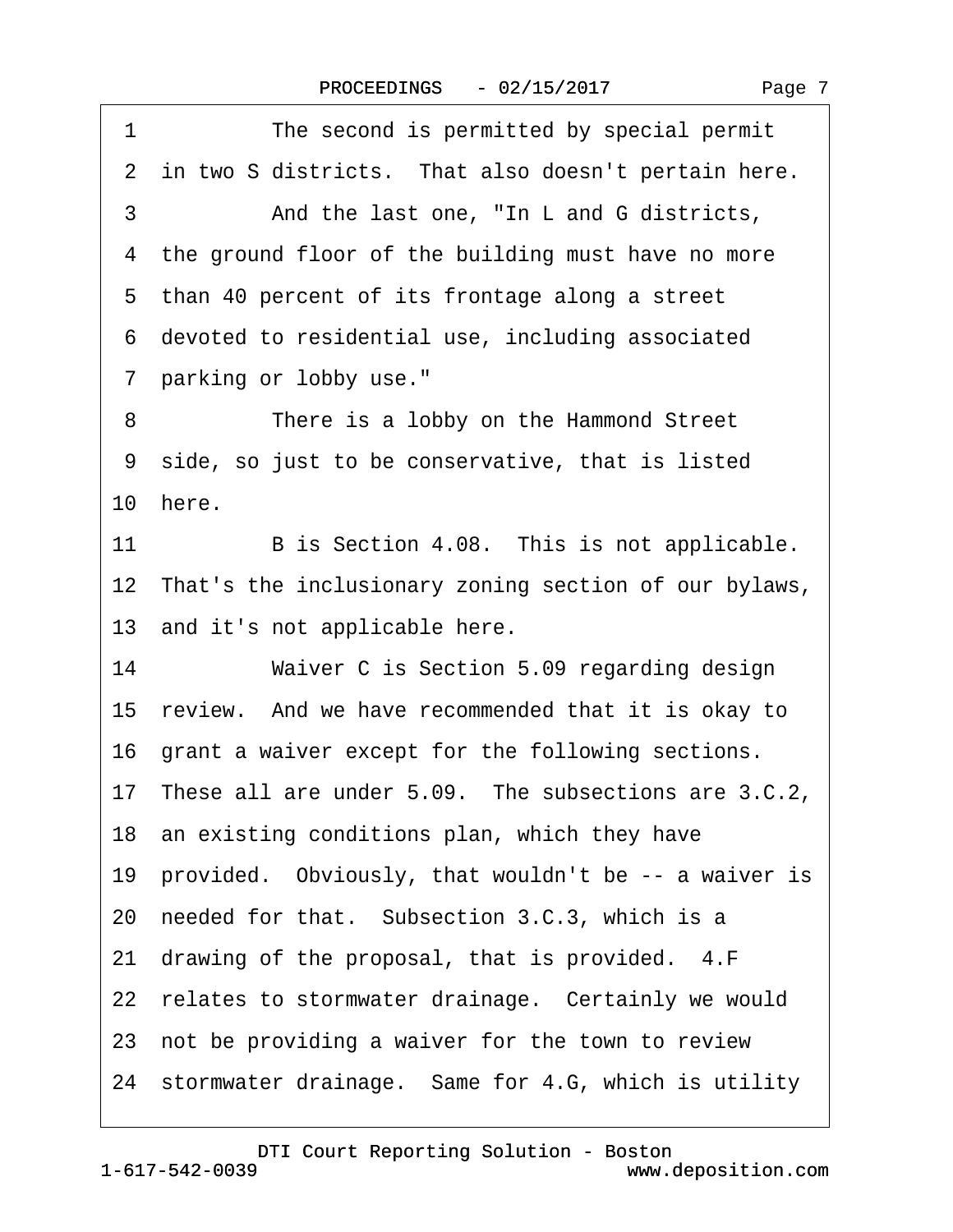<span id="page-6-0"></span>

| 1<br>The second is permitted by special permit           |
|----------------------------------------------------------|
| 2 in two S districts. That also doesn't pertain here.    |
| And the last one, "In L and G districts,<br>3            |
| 4 the ground floor of the building must have no more     |
| 5 than 40 percent of its frontage along a street         |
| 6 devoted to residential use, including associated       |
| 7 parking or lobby use."                                 |
| There is a lobby on the Hammond Street<br>8              |
| 9 side, so just to be conservative, that is listed       |
| 10 here.                                                 |
| 11<br>B is Section 4.08. This is not applicable.         |
| 12 That's the inclusionary zoning section of our bylaws, |
| 13 and it's not applicable here.                         |
| Waiver C is Section 5.09 regarding design<br>14          |
| 15 review. And we have recommended that it is okay to    |
| 16 grant a waiver except for the following sections.     |
| 17 These all are under 5.09. The subsections are 3.C.2,  |
| 18 an existing conditions plan, which they have          |
| 19 provided. Obviously, that wouldn't be -- a waiver is  |
| 20 needed for that. Subsection 3.C.3, which is a         |
| 21 drawing of the proposal, that is provided. 4.F        |
| 22 relates to stormwater drainage. Certainly we would    |
| 23 not be providing a waiver for the town to review      |
| 24 stormwater drainage. Same for 4.G, which is utility   |
|                                                          |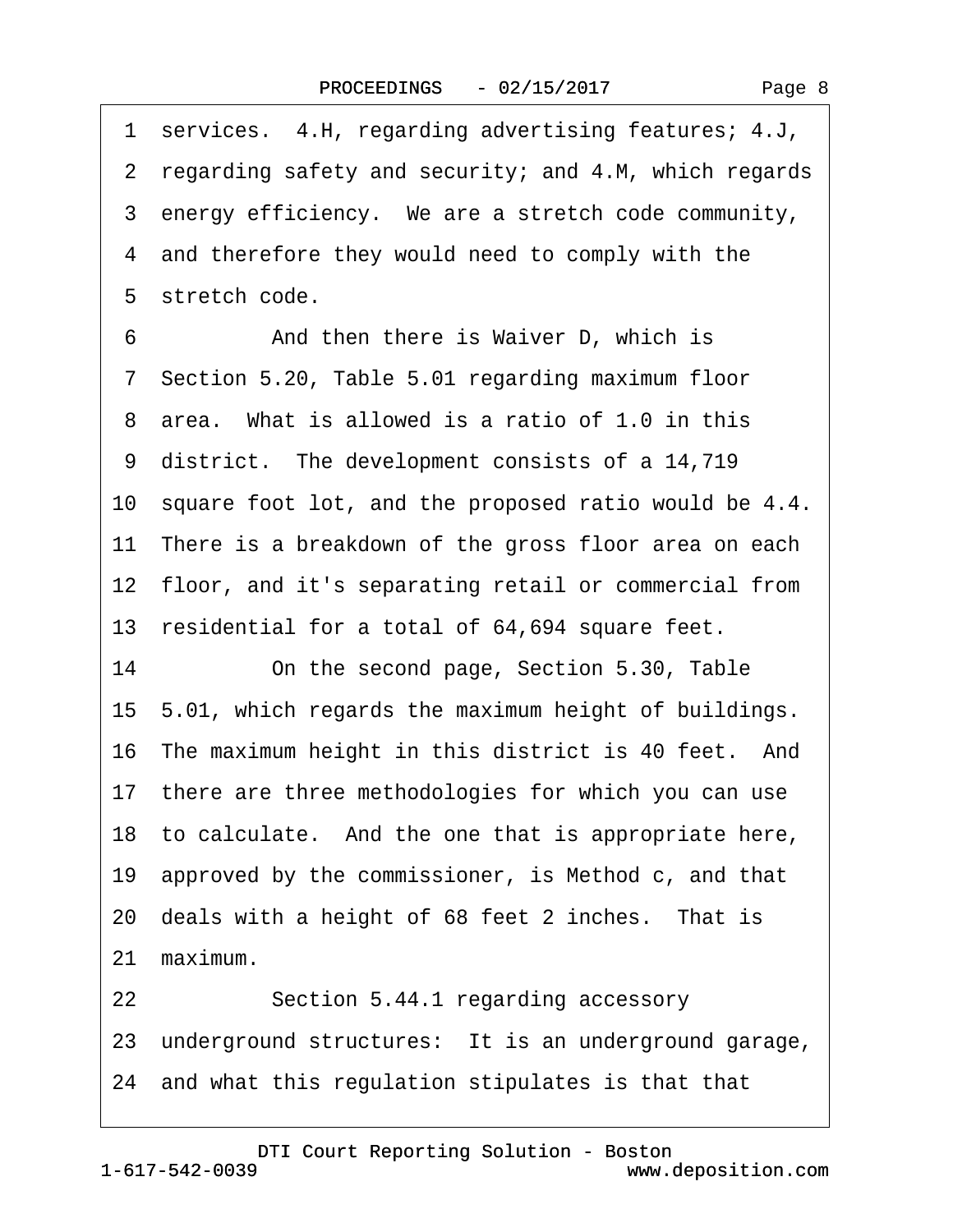<span id="page-7-0"></span>

| 1 services. 4.H, regarding advertising features; 4.J,    |
|----------------------------------------------------------|
| 2 regarding safety and security; and 4.M, which regards  |
| 3 energy efficiency. We are a stretch code community,    |
| 4 and therefore they would need to comply with the       |
| 5 stretch code.                                          |
| 6<br>And then there is Waiver D, which is                |
| 7 Section 5.20, Table 5.01 regarding maximum floor       |
| 8 area. What is allowed is a ratio of 1.0 in this        |
| 9 district. The development consists of a 14,719         |
| 10 square foot lot, and the proposed ratio would be 4.4. |
| 11 There is a breakdown of the gross floor area on each  |
| 12 floor, and it's separating retail or commercial from  |
| 13 residential for a total of 64,694 square feet.        |
| 14<br>On the second page, Section 5.30, Table            |
| 15 5.01, which regards the maximum height of buildings.  |
| 16 The maximum height in this district is 40 feet. And   |
| 17 there are three methodologies for which you can use   |
| 18 to calculate. And the one that is appropriate here,   |
| 19 approved by the commissioner, is Method c, and that   |
| 20 deals with a height of 68 feet 2 inches. That is      |
| 21 maximum.                                              |
| Section 5.44.1 regarding accessory<br>22                 |
| 23 underground structures: It is an underground garage,  |
| 24 and what this regulation stipulates is that that      |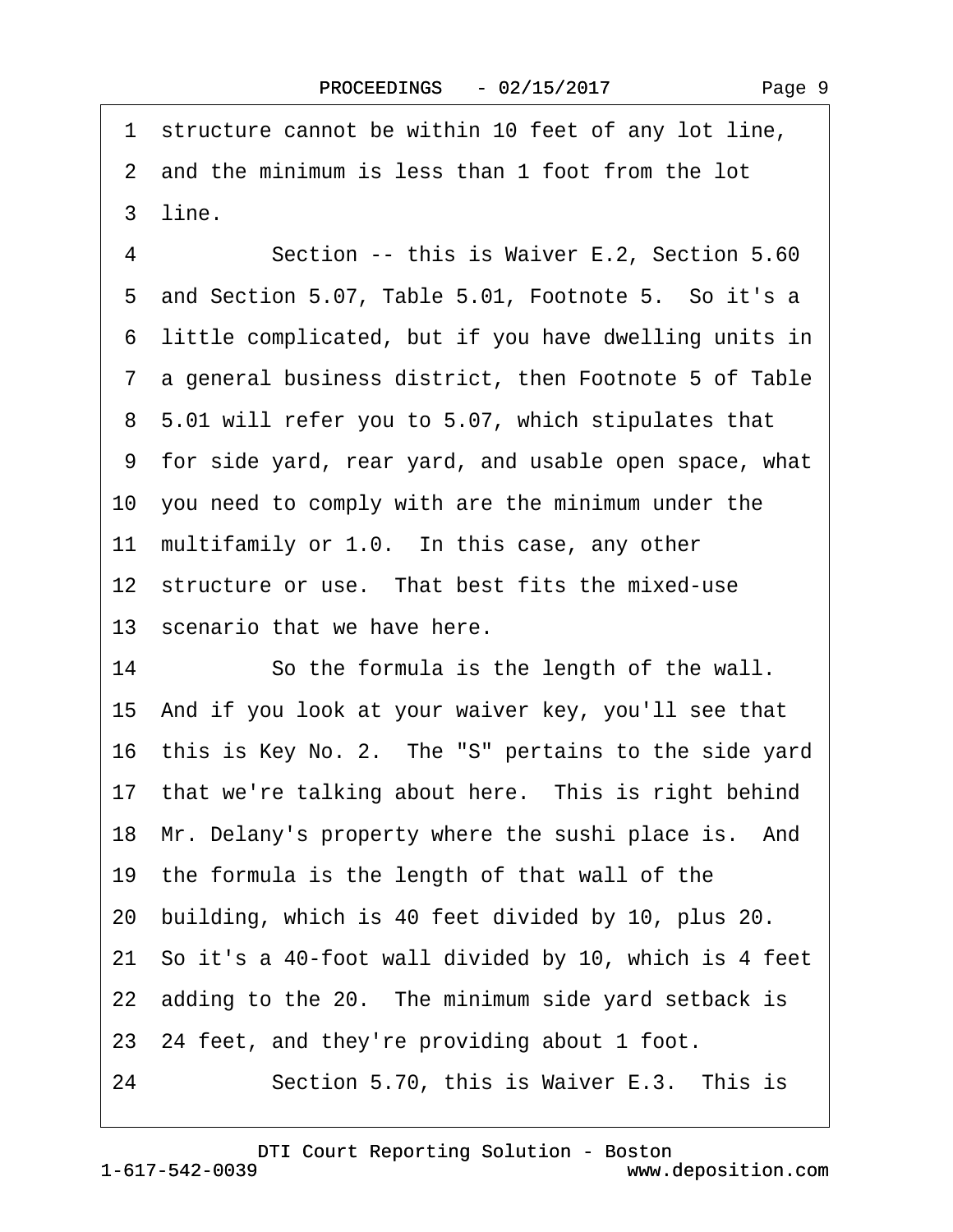<span id="page-8-0"></span>1 structure cannot be within 10 feet of any lot line, 2 and the minimum is less than 1 foot from the lot 3 line. 4 **Section -- this is Waiver E.2, Section 5.60** 5 and Section 5.07, Table 5.01, Footnote 5. So it's a ·6· little complicated, but if you have dwelling units in ·7· a general business district, then Footnote 5 of Table ·8· 5.01 will refer you to 5.07, which stipulates that ·9· for side yard, rear yard, and usable open space, what 10· you need to comply with are the minimum under the 11 multifamily or 1.0. In this case, any other 12 structure or use. That best fits the mixed-use 13 scenario that we have here. 14 So the formula is the length of the wall. 15· And if you look at your waiver key, you'll see that 16 this is Key No. 2. The "S" pertains to the side yard 17 that we're talking about here. This is right behind 18 Mr. Delany's property where the sushi place is. And 19· the formula is the length of that wall of the 20· building, which is 40 feet divided by 10, plus 20. 21· So it's a 40-foot wall divided by 10, which is 4 feet 22 adding to the 20. The minimum side yard setback is 23· 24 feet, and they're providing about 1 foot. 24 Section 5.70, this is Waiver E.3. This is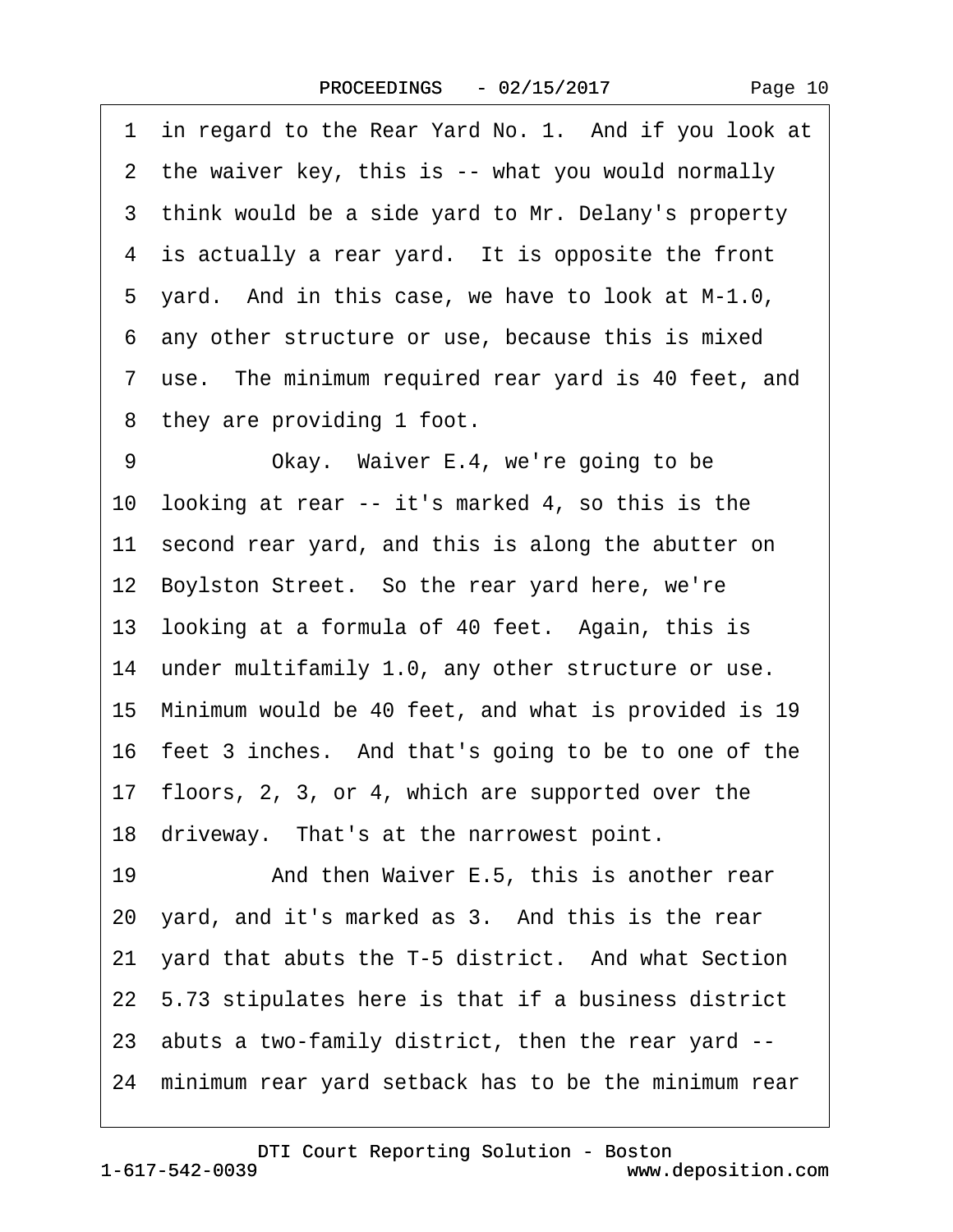|  | Page 10 |
|--|---------|
|--|---------|

<span id="page-9-0"></span>1 in regard to the Rear Yard No. 1. And if you look at 2 the waiver key, this is -- what you would normally 3 think would be a side yard to Mr. Delany's property 4 is actually a rear yard. It is opposite the front 5 yard. And in this case, we have to look at M-1.0, ·6· any other structure or use, because this is mixed 7 use. The minimum required rear yard is 40 feet, and 8 they are providing 1 foot. 9 Okay. Waiver E.4, we're going to be 10 looking at rear -- it's marked 4, so this is the 11 second rear yard, and this is along the abutter on 12 Boylston Street. So the rear yard here, we're 13 looking at a formula of 40 feet. Again, this is 14 under multifamily 1.0, any other structure or use. 15· Minimum would be 40 feet, and what is provided is 19 16· feet 3 inches.· And that's going to be to one of the 17· floors, 2, 3, or 4, which are supported over the 18 driveway. That's at the narrowest point. 19 • And then Waiver E.5, this is another rear 20· yard, and it's marked as 3.· And this is the rear 21 yard that abuts the T-5 district. And what Section 22· 5.73 stipulates here is that if a business district 23· abuts a two-family district, then the rear yard -- 24· minimum rear yard setback has to be the minimum rear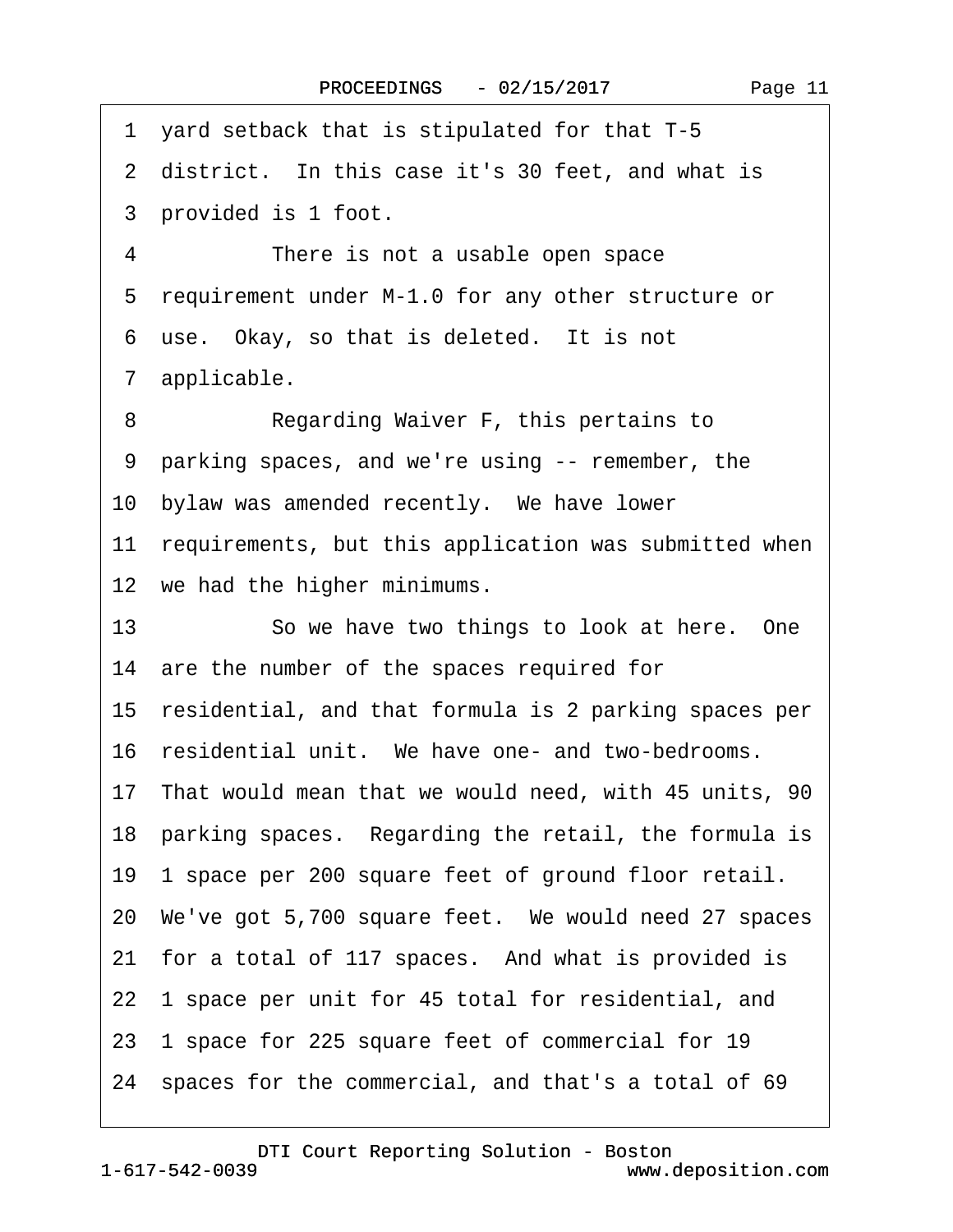<span id="page-10-0"></span>·1· yard setback that is stipulated for that T-5 2 district. In this case it's 30 feet, and what is 3 provided is 1 foot. 4 There is not a usable open space 5 requirement under M-1.0 for any other structure or 6 use. Okay, so that is deleted. It is not ·7· applicable. 8 Regarding Waiver F, this pertains to ·9· parking spaces, and we're using -- remember, the 10 bylaw was amended recently. We have lower 11 requirements, but this application was submitted when 12 we had the higher minimums. 13 So we have two things to look at here. One 14 are the number of the spaces required for 15· residential, and that formula is 2 parking spaces per 16 residential unit. We have one- and two-bedrooms. 17· That would mean that we would need, with 45 units, 90 18 parking spaces. Regarding the retail, the formula is 19· 1 space per 200 square feet of ground floor retail. 20 We've got 5,700 square feet. We would need 27 spaces 21 for a total of 117 spaces. And what is provided is 22 1 space per unit for 45 total for residential, and 23· 1 space for 225 square feet of commercial for 19 24 spaces for the commercial, and that's a total of 69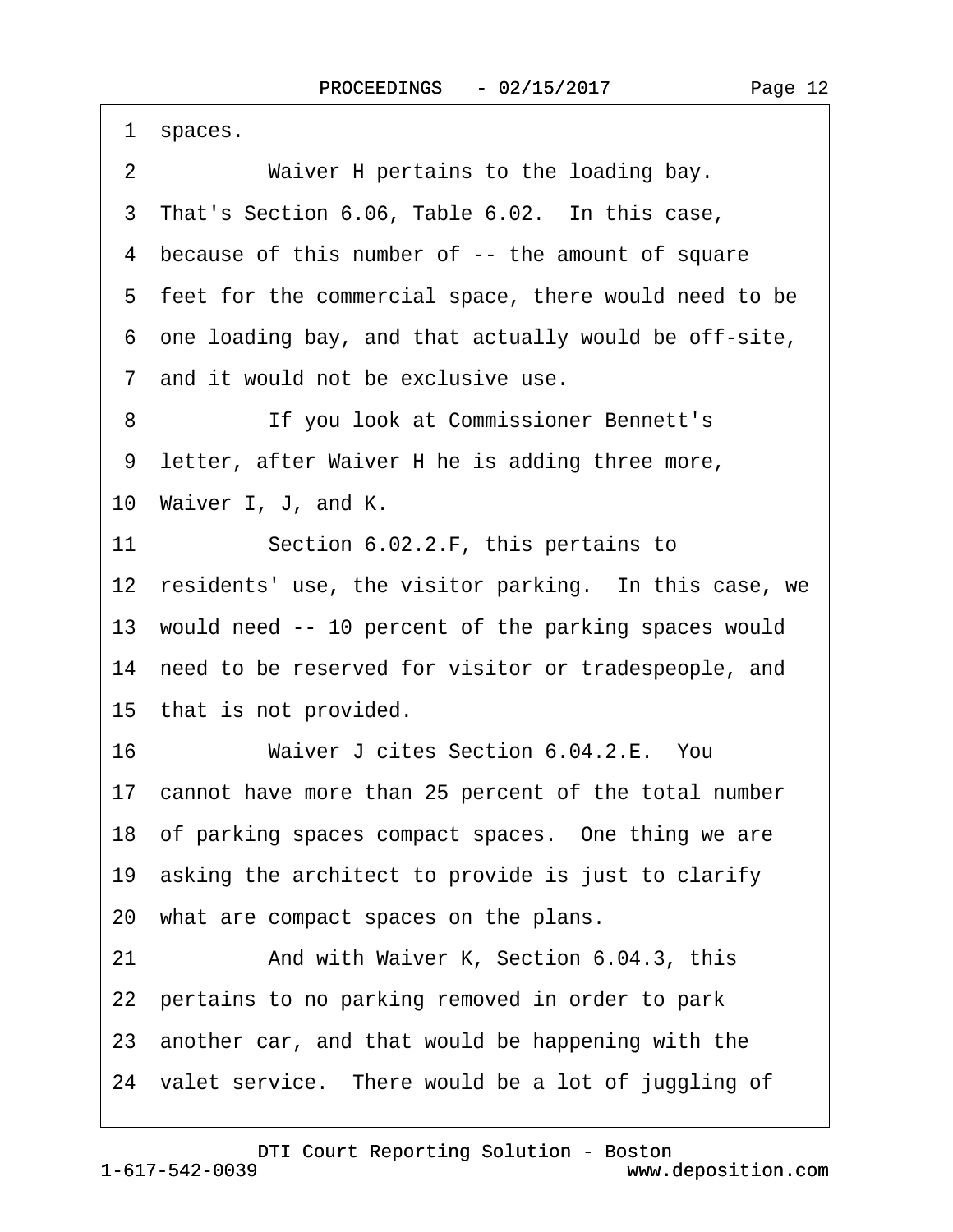<span id="page-11-0"></span>1 spaces.

3 That's Section 6.06, Table 6.02. In this case,

4 because of this number of -- the amount of square

5 feet for the commercial space, there would need to be

·6· one loading bay, and that actually would be off-site,

·7· and it would not be exclusive use.

8 **If you look at Commissioner Bennett's** 

9 letter, after Waiver H he is adding three more,

10 Waiver I, J, and K.

11 Section 6.02.2.F, this pertains to

12 residents' use, the visitor parking. In this case, we

13 would need -- 10 percent of the parking spaces would

14 need to be reserved for visitor or tradespeople, and

15 that is not provided.

16 Waiver J cites Section 6.04.2.E. You

17 cannot have more than 25 percent of the total number

18 of parking spaces compact spaces. One thing we are

19 asking the architect to provide is just to clarify

20· what are compact spaces on the plans.

21 • And with Waiver K, Section 6.04.3, this

22 pertains to no parking removed in order to park

23· another car, and that would be happening with the

24 valet service. There would be a lot of juggling of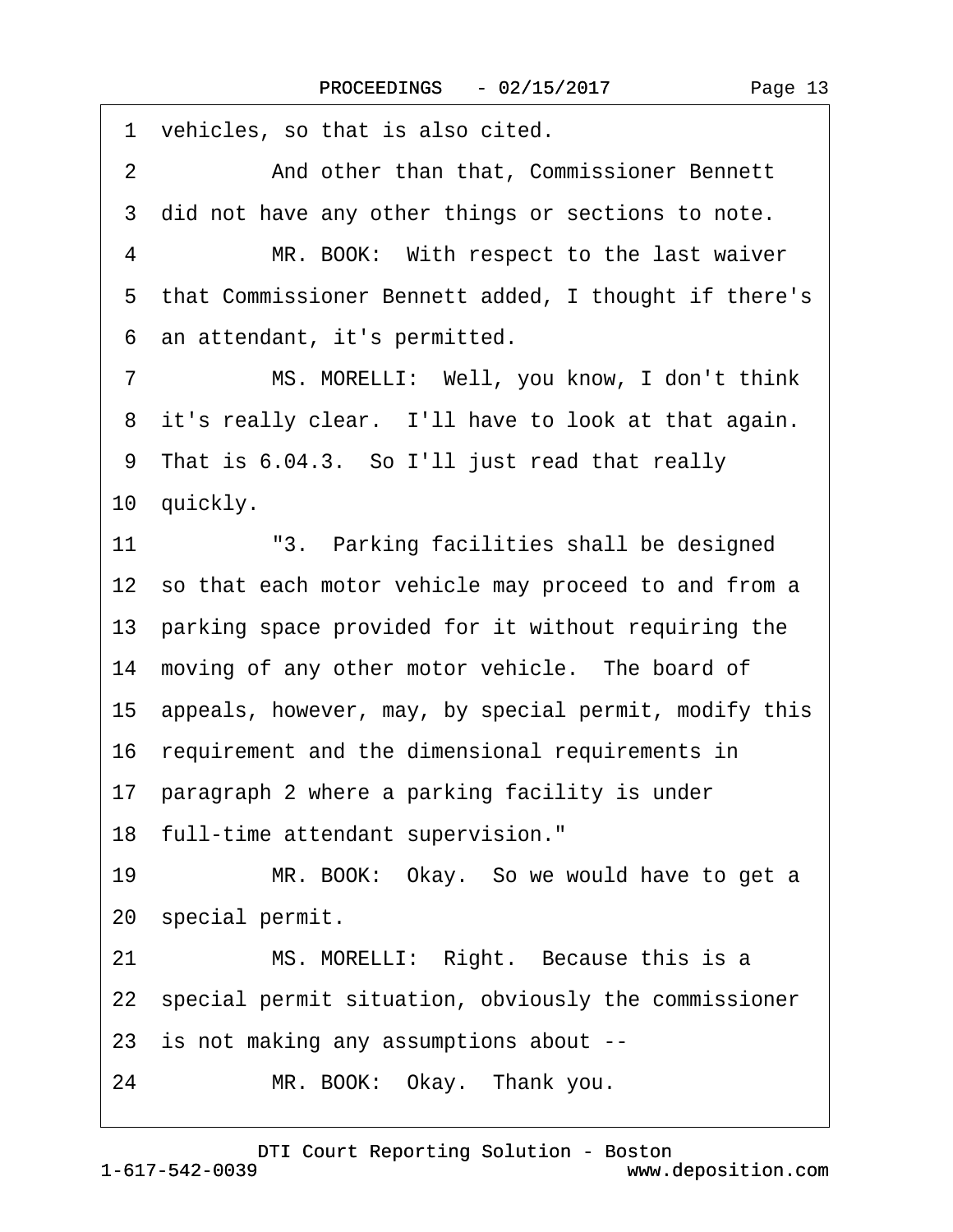<span id="page-12-0"></span>1 vehicles, so that is also cited. 2 And other than that, Commissioner Bennett 3 did not have any other things or sections to note. 4 MR. BOOK: With respect to the last waiver ·5· that Commissioner Bennett added, I thought if there's ·6· an attendant, it's permitted. 7 MS. MORELLI: Well, you know, I don't think 8 it's really clear. I'll have to look at that again. 9 That is 6.04.3. So I'll just read that really 10 quickly. 11 <sup>"3</sup>. Parking facilities shall be designed 12 so that each motor vehicle may proceed to and from a 13· parking space provided for it without requiring the 14 moving of any other motor vehicle. The board of 15· appeals, however, may, by special permit, modify this 16· requirement and the dimensional requirements in 17 paragraph 2 where a parking facility is under 18 full-time attendant supervision." 19 MR. BOOK: Okay. So we would have to get a 20 special permit. 21 MS. MORELLI: Right. Because this is a 22 special permit situation, obviously the commissioner 23· is not making any assumptions about -- 24 MR. BOOK: Okay. Thank you.

[DTI Court Reporting Solution - Boston](http://www.deposition.com)

1-617-542-0039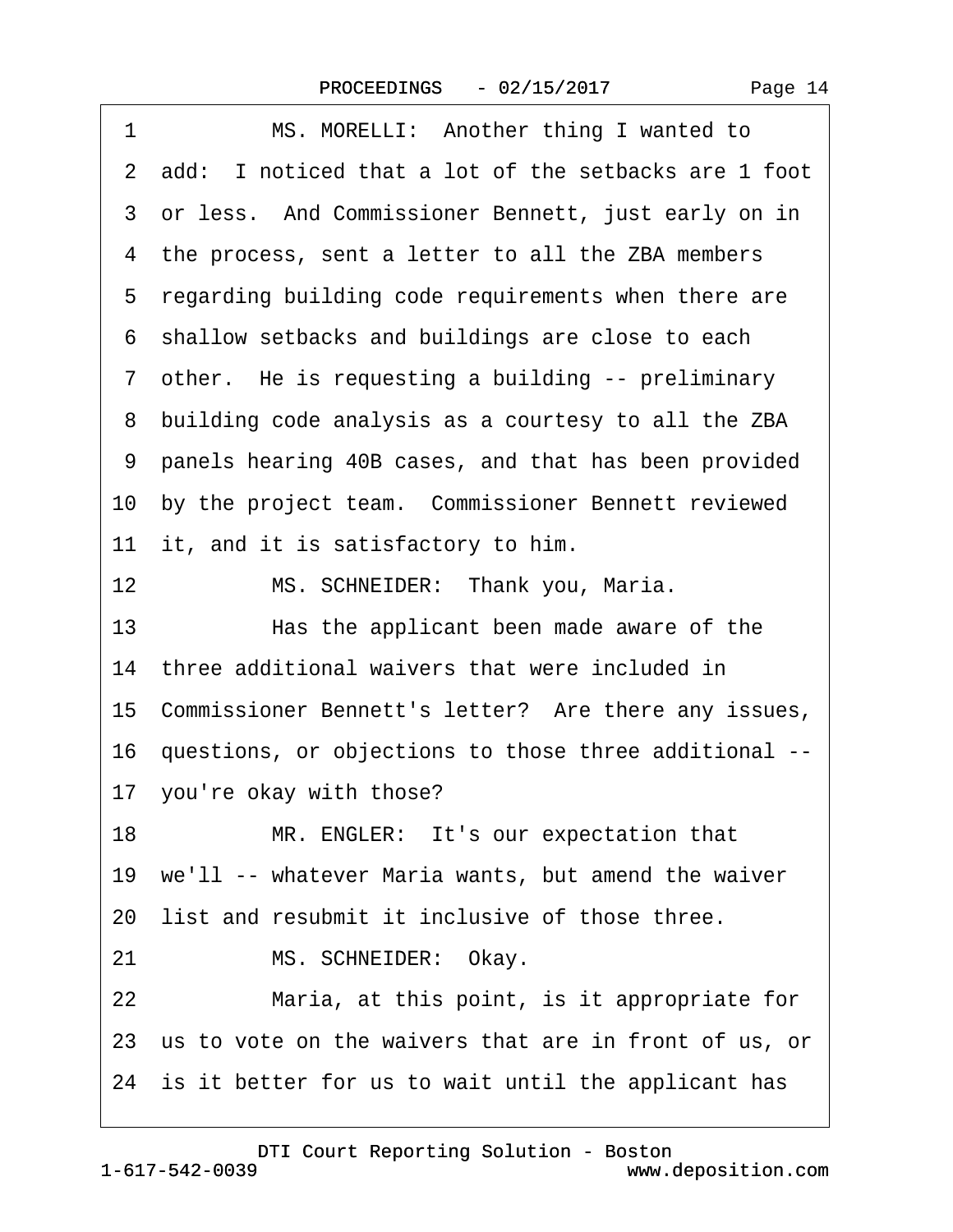| 1<br>MS. MORELLI: Another thing I wanted to              |
|----------------------------------------------------------|
| 2 add: I noticed that a lot of the setbacks are 1 foot   |
| 3 or less. And Commissioner Bennett, just early on in    |
| 4 the process, sent a letter to all the ZBA members      |
| 5 regarding building code requirements when there are    |
| 6 shallow setbacks and buildings are close to each       |
| 7 other. He is requesting a building -- preliminary      |
| 8 building code analysis as a courtesy to all the ZBA    |
| 9 panels hearing 40B cases, and that has been provided   |
| 10 by the project team. Commissioner Bennett reviewed    |
| 11 it, and it is satisfactory to him.                    |
| 12<br>MS. SCHNEIDER: Thank you, Maria.                   |
| 13<br>Has the applicant been made aware of the           |
| 14 three additional waivers that were included in        |
| 15 Commissioner Bennett's letter? Are there any issues,  |
| 16 questions, or objections to those three additional -- |
| 17 you're okay with those?                               |
| 18<br>MR. ENGLER: It's our expectation that              |
| 19 we'll -- whatever Maria wants, but amend the waiver   |
| 20 list and resubmit it inclusive of those three.        |
| MS. SCHNEIDER: Okay.<br>21                               |
| Maria, at this point, is it appropriate for<br>22        |
| 23 us to vote on the waivers that are in front of us, or |
| 24 is it better for us to wait until the applicant has   |

<span id="page-13-0"></span> $\Gamma$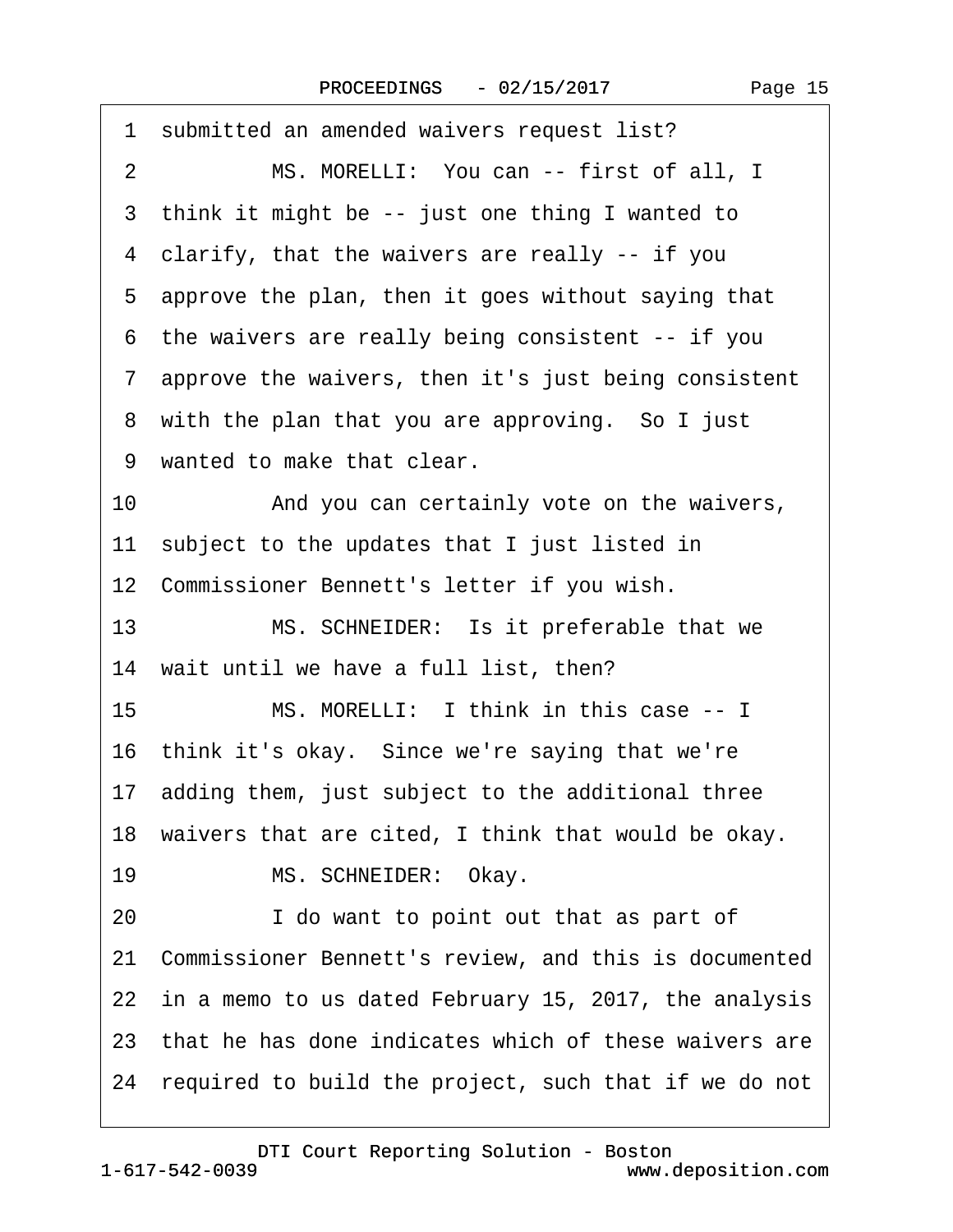<span id="page-14-0"></span>

| 1 submitted an amended waivers request list?              |
|-----------------------------------------------------------|
| MS. MORELLI: You can -- first of all, I<br>$\overline{2}$ |
| 3 think it might be -- just one thing I wanted to         |
| 4 clarify, that the waivers are really -- if you          |
| 5 approve the plan, then it goes without saying that      |
| 6 the waivers are really being consistent -- if you       |
| 7 approve the waivers, then it's just being consistent    |
| 8 with the plan that you are approving. So I just         |
| 9 wanted to make that clear.                              |
| 10<br>And you can certainly vote on the waivers,          |
| 11 subject to the updates that I just listed in           |
| 12 Commissioner Bennett's letter if you wish.             |
| 13<br>MS. SCHNEIDER: Is it preferable that we             |
| 14 wait until we have a full list, then?                  |
| 15<br>MS. MORELLI: I think in this case -- I              |
| 16 think it's okay. Since we're saying that we're         |
| 17 adding them, just subject to the additional three      |
| 18 waivers that are cited, I think that would be okay.    |
| MS. SCHNEIDER: Okay.<br>19                                |
| I do want to point out that as part of<br>20              |
| 21 Commissioner Bennett's review, and this is documented  |
| 22 in a memo to us dated February 15, 2017, the analysis  |
| 23 that he has done indicates which of these waivers are  |
| 24 required to build the project, such that if we do not  |
|                                                           |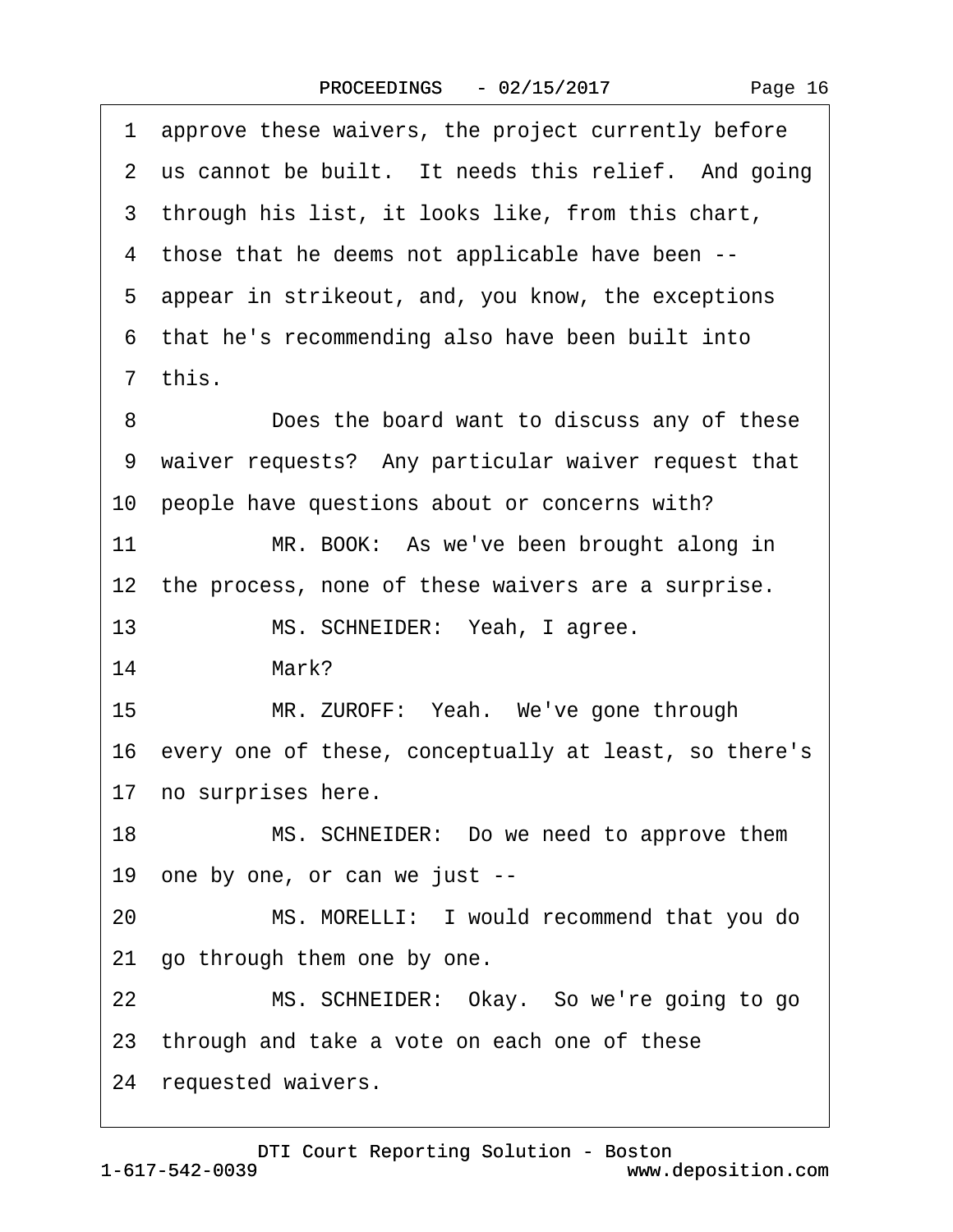<span id="page-15-0"></span>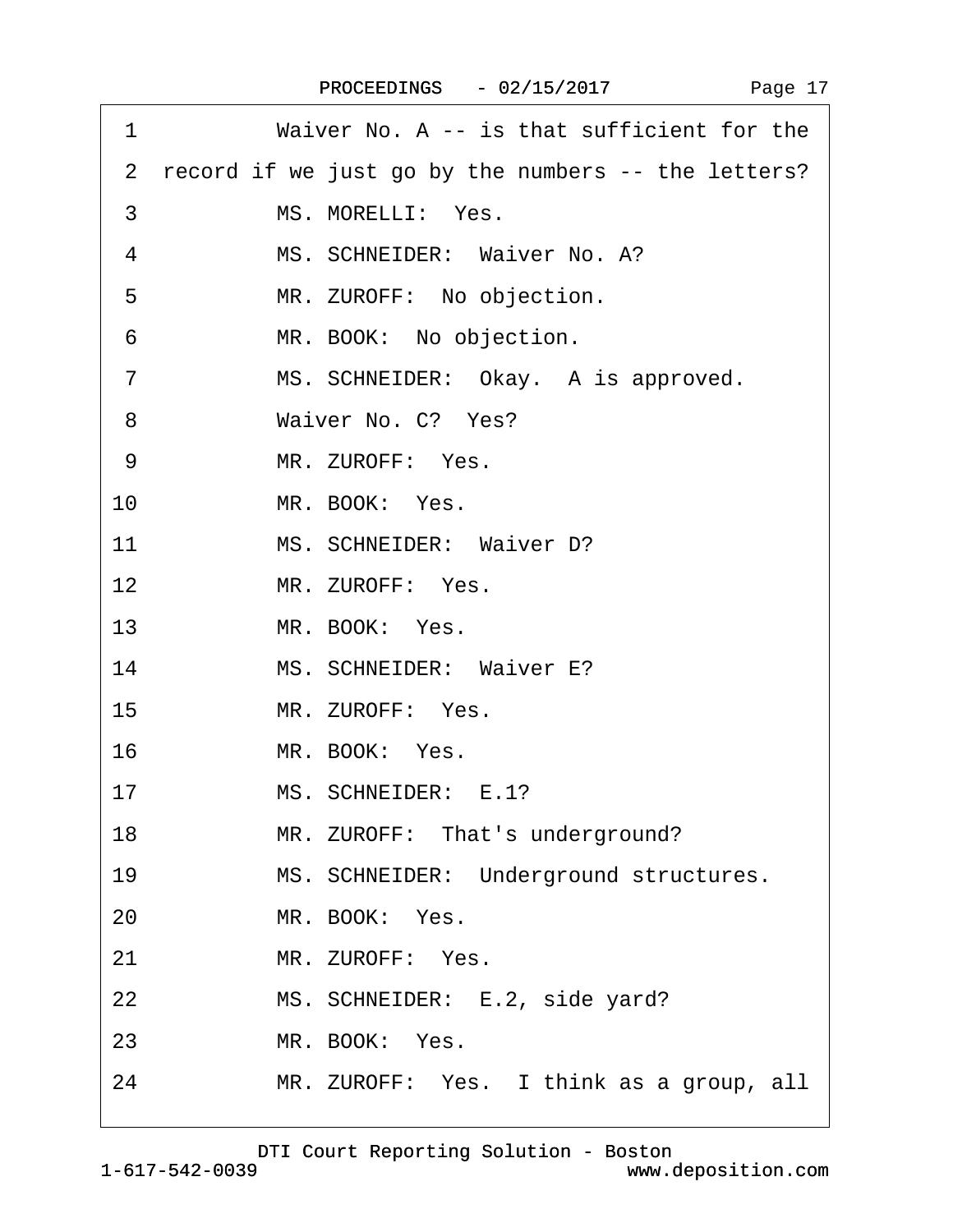| 1              | Waiver No. A -- is that sufficient for the            |
|----------------|-------------------------------------------------------|
|                | 2 record if we just go by the numbers -- the letters? |
| 3              | MS. MORELLI: Yes.                                     |
| 4              | MS. SCHNEIDER: Waiver No. A?                          |
| 5              | MR. ZUROFF: No objection.                             |
| 6              | MR. BOOK: No objection.                               |
| $\overline{7}$ | MS. SCHNEIDER: Okay. A is approved.                   |
| 8              | Waiver No. C? Yes?                                    |
| 9              | MR. ZUROFF: Yes.                                      |
| 10             | MR. BOOK: Yes.                                        |
| 11             | MS. SCHNEIDER: Waiver D?                              |
| 12             | MR. ZUROFF: Yes.                                      |
| 13             | MR. BOOK: Yes.                                        |
| 14             | MS. SCHNEIDER: Waiver E?                              |
| 15             | MR. ZUROFF: Yes.                                      |
| 16             | MR. BOOK: Yes.                                        |
| 17             | MS. SCHNEIDER: E.1?                                   |
| 18             | MR. ZUROFF: That's underground?                       |
| 19             | MS. SCHNEIDER: Underground structures.                |
| 20             | MR. BOOK: Yes.                                        |
| 21             | MR. ZUROFF: Yes.                                      |
| 22             | MS. SCHNEIDER: E.2, side yard?                        |
| 23             | MR. BOOK: Yes.                                        |
| 24             | MR. ZUROFF: Yes. I think as a group, all              |
|                |                                                       |

<span id="page-16-0"></span> $\sqrt{ }$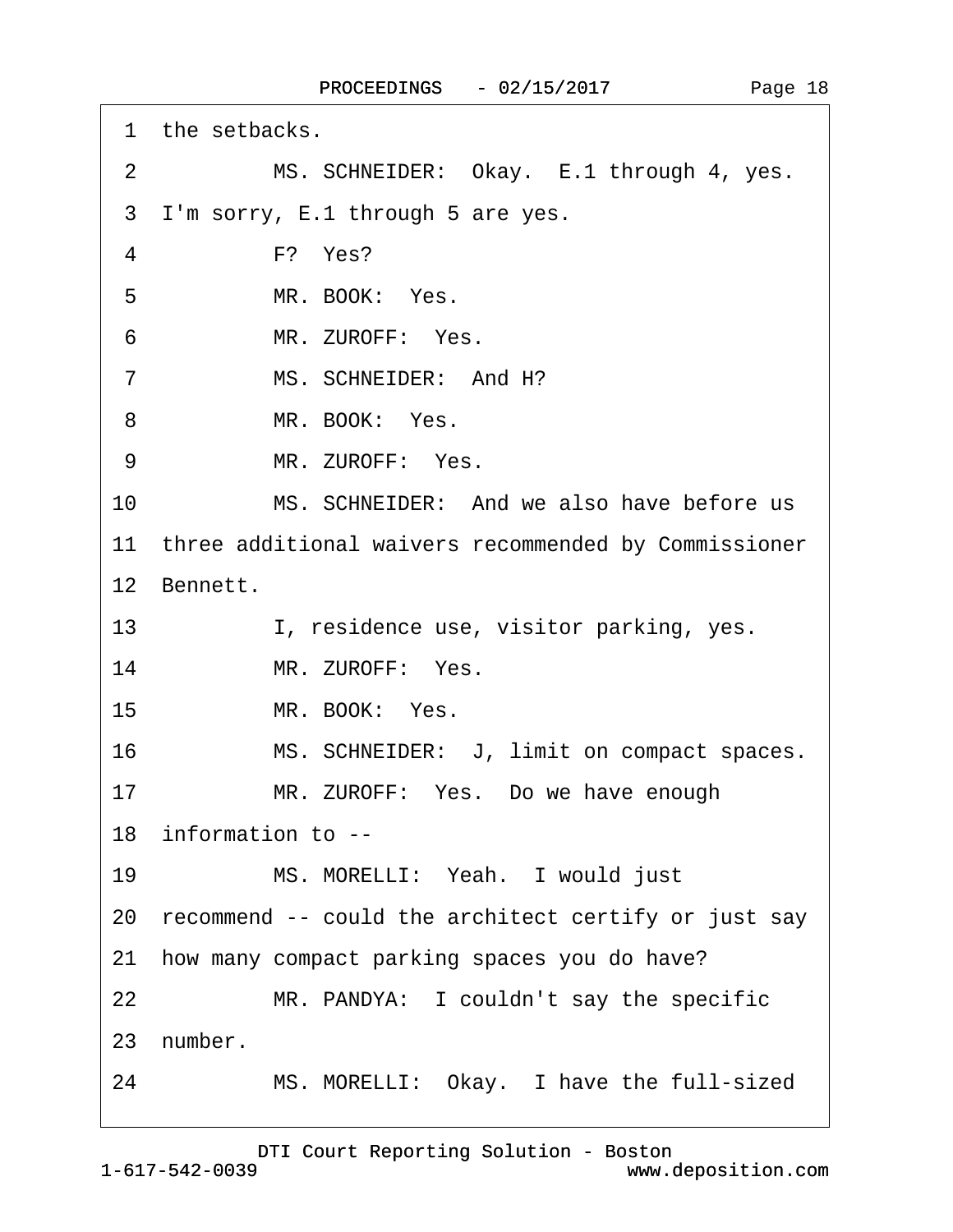<span id="page-17-0"></span>

|                | 1 the setbacks.                                         |
|----------------|---------------------------------------------------------|
| 2              | MS. SCHNEIDER: Okay. E.1 through 4, yes.                |
| 3              | I'm sorry, E.1 through 5 are yes.                       |
| $\overline{4}$ | F? Yes?                                                 |
| 5              | MR. BOOK: Yes.                                          |
| 6              | MR. ZUROFF: Yes.                                        |
| $\overline{7}$ | MS. SCHNEIDER: And H?                                   |
| 8              | MR. BOOK: Yes.                                          |
| 9              | MR. ZUROFF: Yes.                                        |
| 10             | MS. SCHNEIDER: And we also have before us               |
|                | 11 three additional waivers recommended by Commissioner |
|                | 12 Bennett.                                             |
| 13             | I, residence use, visitor parking, yes.                 |
| 14             | MR. ZUROFF: Yes.                                        |
| 15             | MR. BOOK: Yes.                                          |
| 16             | MS. SCHNEIDER: J, limit on compact spaces.              |
| 17             | MR. ZUROFF: Yes. Do we have enough                      |
|                | 18 information to --                                    |
| 19             | MS. MORELLI: Yeah. I would just                         |
|                | 20 recommend -- could the architect certify or just say |
| 21             | how many compact parking spaces you do have?            |
| 22             | MR. PANDYA: I couldn't say the specific                 |
|                | 23 number.                                              |
| 24             | MS. MORELLI: Okay. I have the full-sized                |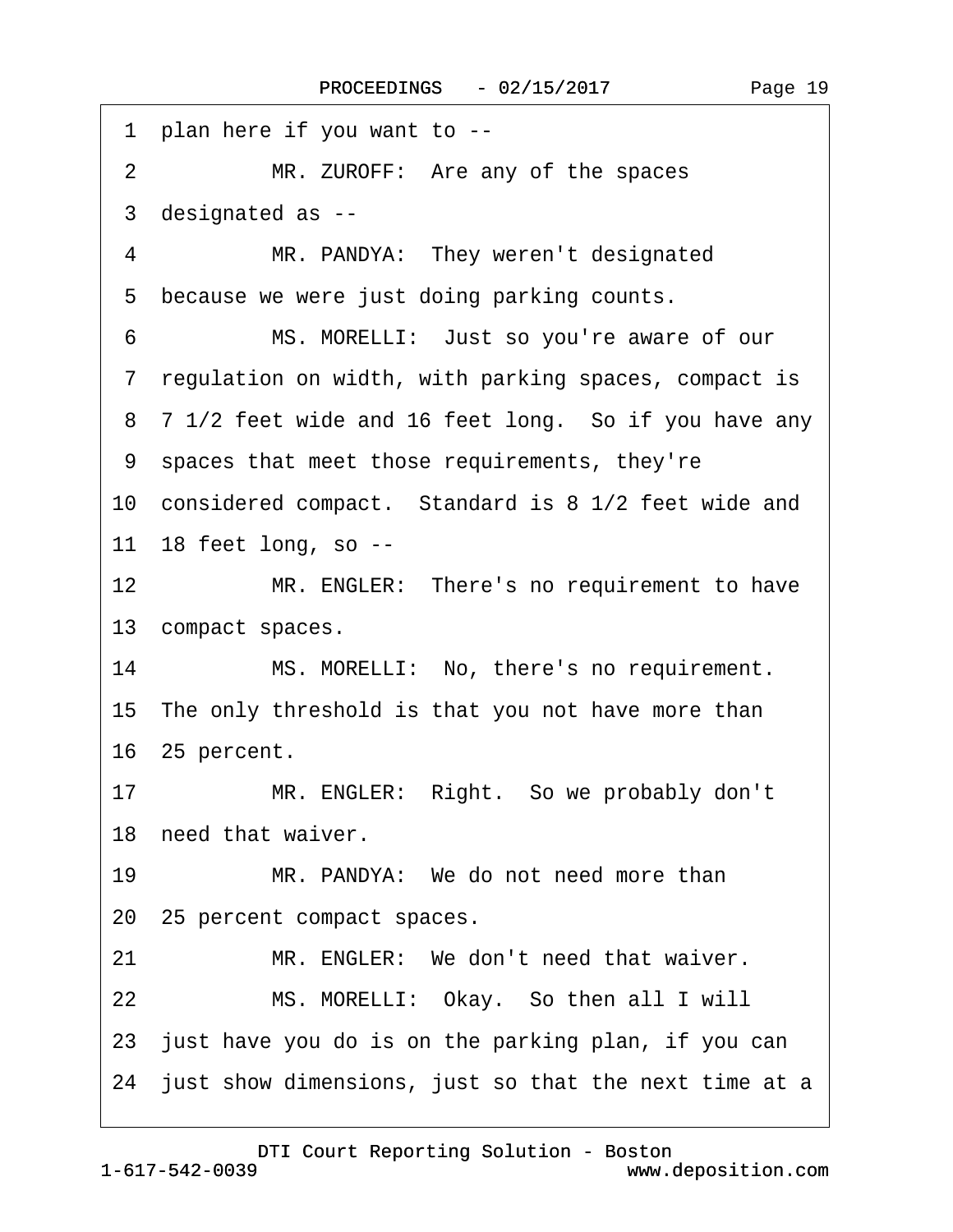<span id="page-18-0"></span>·1· plan here if you want to -- 2 MR. ZUROFF: Are any of the spaces ·3· designated as -- 4 MR. PANDYA: They weren't designated 5 because we were just doing parking counts. 6 MS. MORELLI: Just so you're aware of our ·7· regulation on width, with parking spaces, compact is 8 7 1/2 feet wide and 16 feet long. So if you have any ·9· spaces that meet those requirements, they're 10 considered compact. Standard is 8 1/2 feet wide and 11 18 feet long, so --12 MR. ENGLER: There's no requirement to have 13 compact spaces. 14 MS. MORELLI: No, there's no requirement. 15 The only threshold is that you not have more than 16· 25 percent. 17 MR. ENGLER: Right. So we probably don't 18 need that waiver. 19 MR. PANDYA: We do not need more than 20 25 percent compact spaces. 21 MR. ENGLER: We don't need that waiver. 22 MS. MORELLI: Okay. So then all I will 23 just have you do is on the parking plan, if you can 24 just show dimensions, just so that the next time at a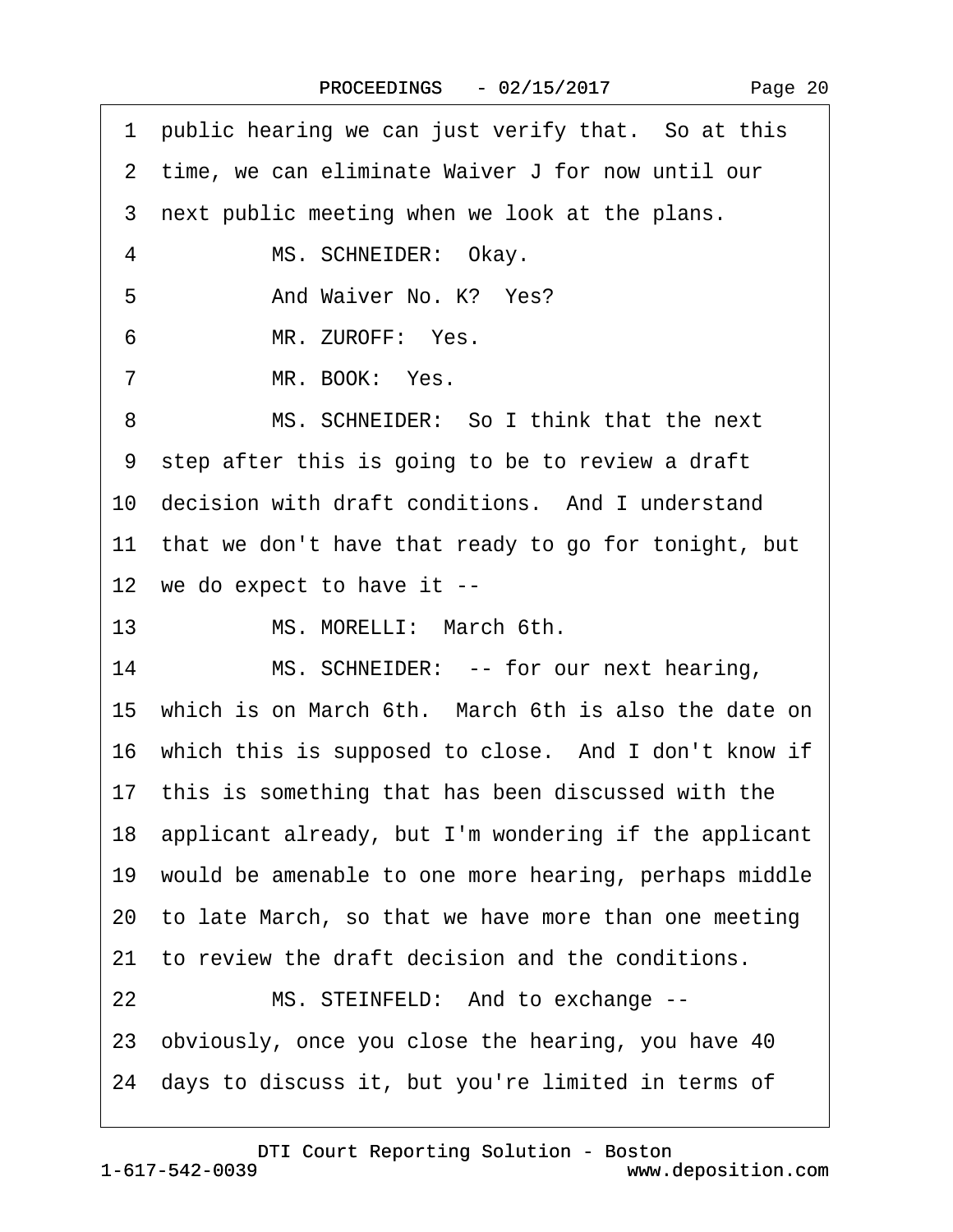<span id="page-19-0"></span>

| 1 public hearing we can just verify that. So at this     |
|----------------------------------------------------------|
| 2 time, we can eliminate Waiver J for now until our      |
| 3 next public meeting when we look at the plans.         |
| $\overline{4}$<br>MS. SCHNEIDER: Okay.                   |
| And Waiver No. K? Yes?<br>5                              |
| MR. ZUROFF: Yes.<br>6                                    |
| MR. BOOK: Yes.<br>7                                      |
| MS. SCHNEIDER: So I think that the next<br>8             |
| 9 step after this is going to be to review a draft       |
| 10 decision with draft conditions. And I understand      |
| 11 that we don't have that ready to go for tonight, but  |
| 12 we do expect to have it --                            |
| 13<br>MS. MORELLI: March 6th.                            |
| 14<br>MS. SCHNEIDER: -- for our next hearing,            |
| 15 which is on March 6th. March 6th is also the date on  |
| 16 which this is supposed to close. And I don't know if  |
| 17 this is something that has been discussed with the    |
| 18 applicant already, but I'm wondering if the applicant |
| 19 would be amenable to one more hearing, perhaps middle |
| 20 to late March, so that we have more than one meeting  |
| 21 to review the draft decision and the conditions.      |
| MS. STEINFELD: And to exchange --<br>22                  |
| 23 obviously, once you close the hearing, you have 40    |
| 24 days to discuss it, but you're limited in terms of    |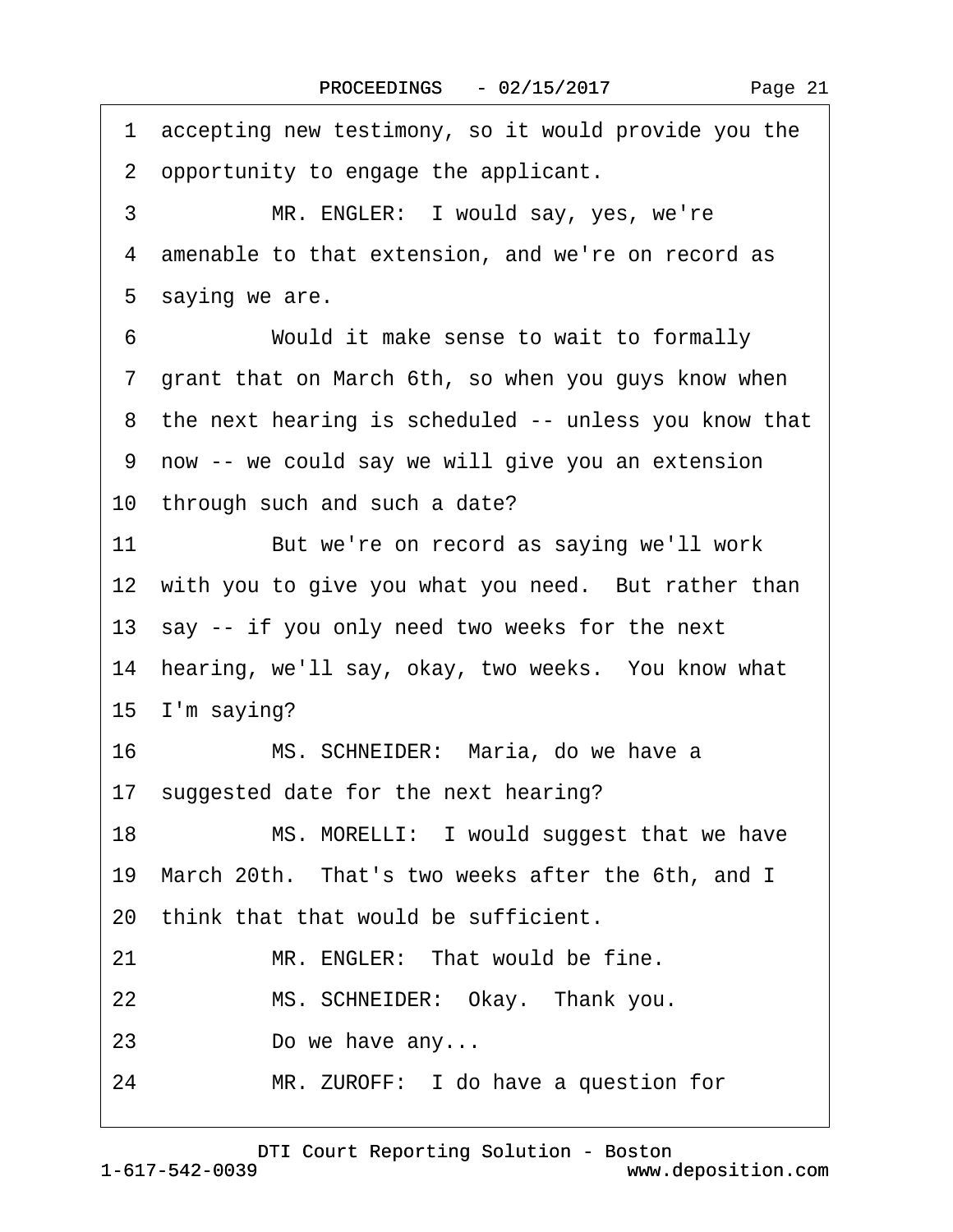<span id="page-20-0"></span>

| 1 accepting new testimony, so it would provide you the  |
|---------------------------------------------------------|
| 2 opportunity to engage the applicant.                  |
| 3<br>MR. ENGLER: I would say, yes, we're                |
| 4 amenable to that extension, and we're on record as    |
| 5 saying we are.                                        |
| 6<br>Would it make sense to wait to formally            |
| 7 grant that on March 6th, so when you guys know when   |
| 8 the next hearing is scheduled -- unless you know that |
| 9 now -- we could say we will give you an extension     |
| 10 through such and such a date?                        |
| 11<br>But we're on record as saying we'll work          |
| 12 with you to give you what you need. But rather than  |
| 13 say -- if you only need two weeks for the next       |
| 14 hearing, we'll say, okay, two weeks. You know what   |
| 15 I'm saying?                                          |
| MS. SCHNEIDER: Maria, do we have a<br>16                |
| 17 suggested date for the next hearing?                 |
| MS. MORELLI: I would suggest that we have<br>18         |
| 19 March 20th. That's two weeks after the 6th, and I    |
| 20 think that that would be sufficient.                 |
| MR. ENGLER: That would be fine.<br>21                   |
| MS. SCHNEIDER: Okay. Thank you.<br>22                   |
| Do we have any<br>23                                    |
| MR. ZUROFF: I do have a question for<br>24              |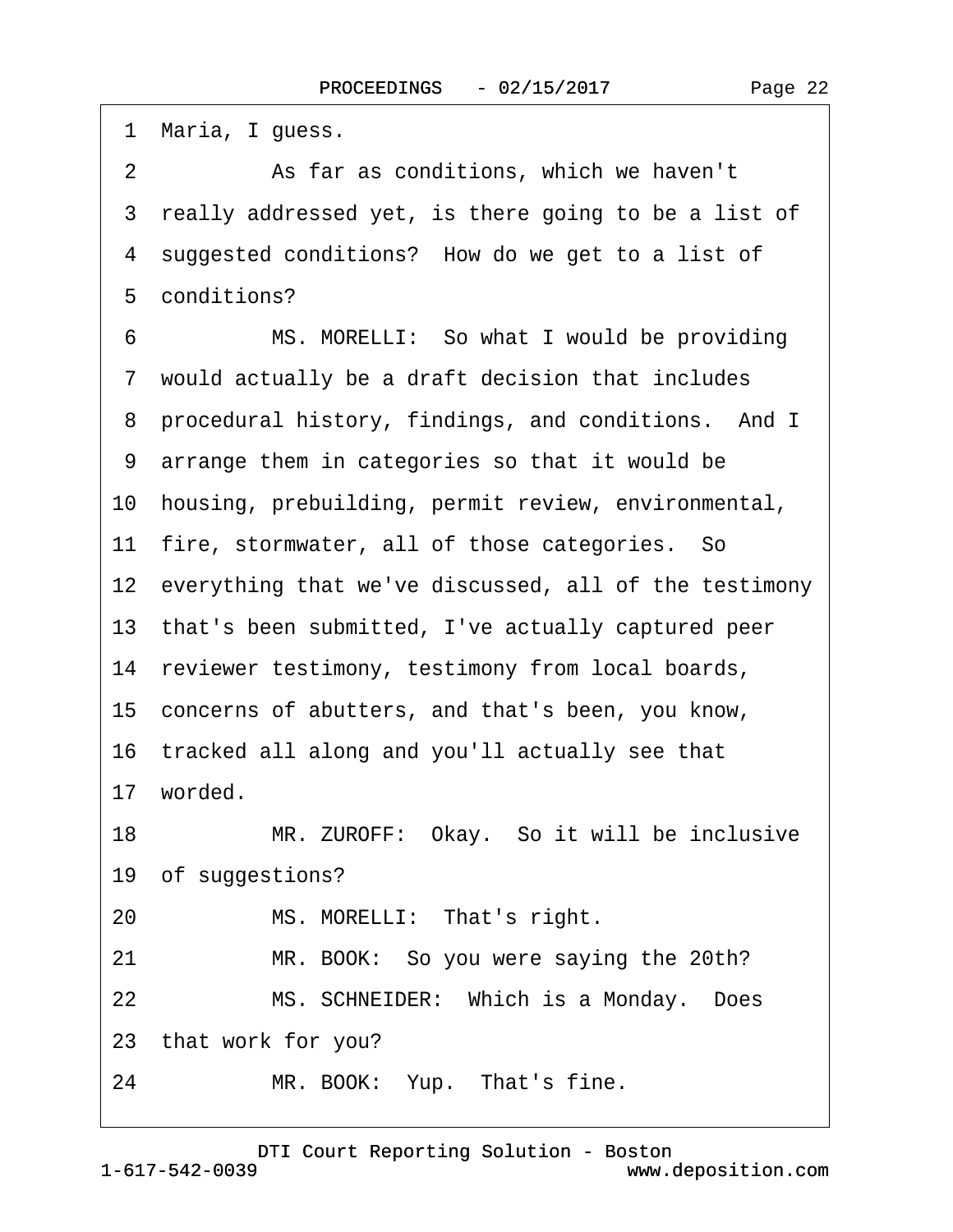<span id="page-21-0"></span>1 Maria, I guess. 2 **8 · · · · As far as conditions, which we haven't** 3 really addressed yet, is there going to be a list of 4 suggested conditions? How do we get to a list of 5 conditions? 6 MS. MORELLI: So what I would be providing ·7· would actually be a draft decision that includes 8 procedural history, findings, and conditions. And I ·9· arrange them in categories so that it would be 10· housing, prebuilding, permit review, environmental, 11 fire, stormwater, all of those categories. So 12 everything that we've discussed, all of the testimony 13· that's been submitted, I've actually captured peer 14 reviewer testimony, testimony from local boards, 15· concerns of abutters, and that's been, you know, 16· tracked all along and you'll actually see that 17 worded. 18 MR. ZUROFF: Okay. So it will be inclusive 19 of suggestions? 20 MS. MORELLI: That's right. 21 MR. BOOK: So you were saying the 20th? 22 MS. SCHNEIDER: Which is a Monday. Does 23· that work for you? 24 MR. BOOK: Yup. That's fine.

1-617-542-0039 [DTI Court Reporting Solution - Boston](http://www.deposition.com) www.deposition.com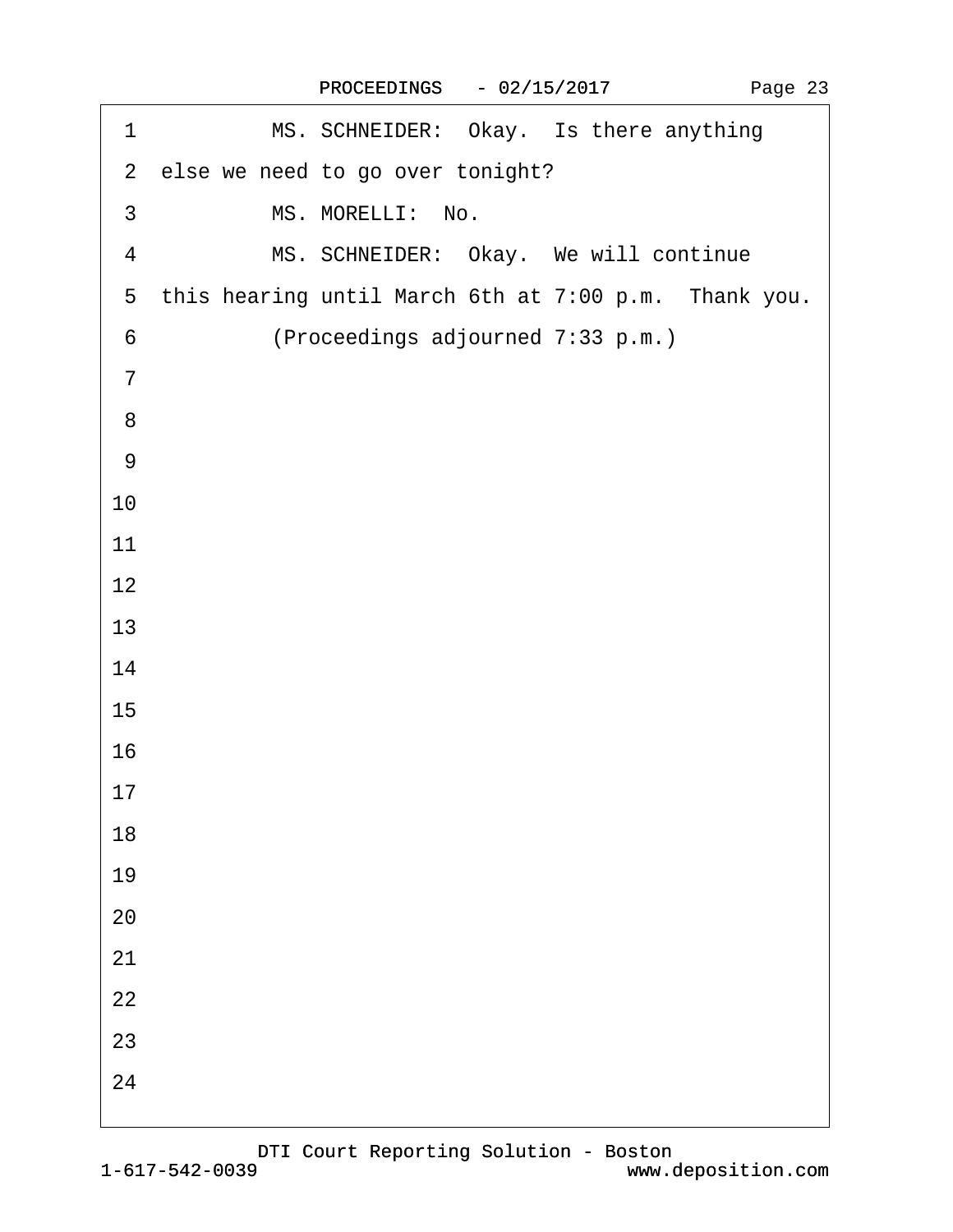<span id="page-22-0"></span>

| MS. SCHNEIDER: Okay. Is there anything<br>1            |  |
|--------------------------------------------------------|--|
| 2 else we need to go over tonight?                     |  |
| MS. MORELLI: No.<br>$\mathfrak{S}$                     |  |
| MS. SCHNEIDER: Okay. We will continue<br>4             |  |
| 5 this hearing until March 6th at 7:00 p.m. Thank you. |  |
| (Proceedings adjourned 7:33 p.m.)<br>6                 |  |
| $\overline{7}$                                         |  |
| 8                                                      |  |
| $9\,$                                                  |  |
| 10                                                     |  |
| 11                                                     |  |
| 12                                                     |  |
| 13                                                     |  |
| 14                                                     |  |
| 15                                                     |  |
| 16                                                     |  |
| 17                                                     |  |
| 18                                                     |  |
| 19                                                     |  |
| 20                                                     |  |
| 21                                                     |  |
| 22                                                     |  |
| 23                                                     |  |
| 24                                                     |  |
|                                                        |  |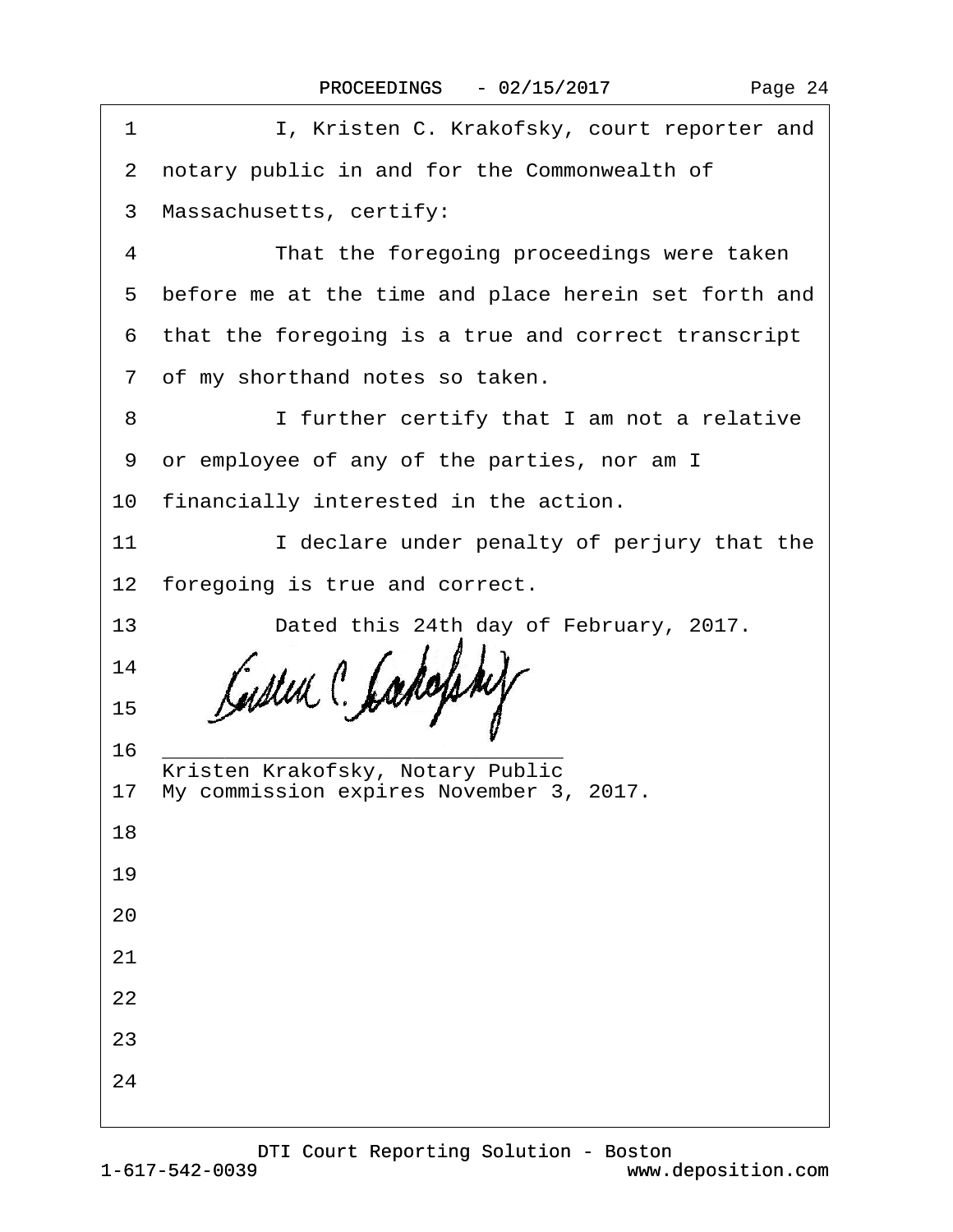| 1  | I, Kristen C. Krakofsky, court reporter and            |
|----|--------------------------------------------------------|
|    | 2 notary public in and for the Commonwealth of         |
|    | 3 Massachusetts, certify:                              |
| 4  | That the foregoing proceedings were taken              |
|    | 5 before me at the time and place herein set forth and |
|    | 6 that the foregoing is a true and correct transcript  |
|    | 7 of my shorthand notes so taken.                      |
| 8  | I further certify that I am not a relative             |
|    | 9 or employee of any of the parties, nor am I          |
|    | 10 financially interested in the action.               |
| 11 | I declare under penalty of perjury that the            |
|    | 12 foregoing is true and correct.                      |
| 13 | Dated this 24th day of February, 2017.                 |
| 14 |                                                        |
| 15 |                                                        |
| 16 | Kristen Krakofsky, Notary Public                       |
|    | 17 My commission expires November 3, 2017.             |
| 18 |                                                        |
| 19 |                                                        |
| 20 |                                                        |
| 21 |                                                        |
| 22 |                                                        |
| 23 |                                                        |
| 24 |                                                        |
|    |                                                        |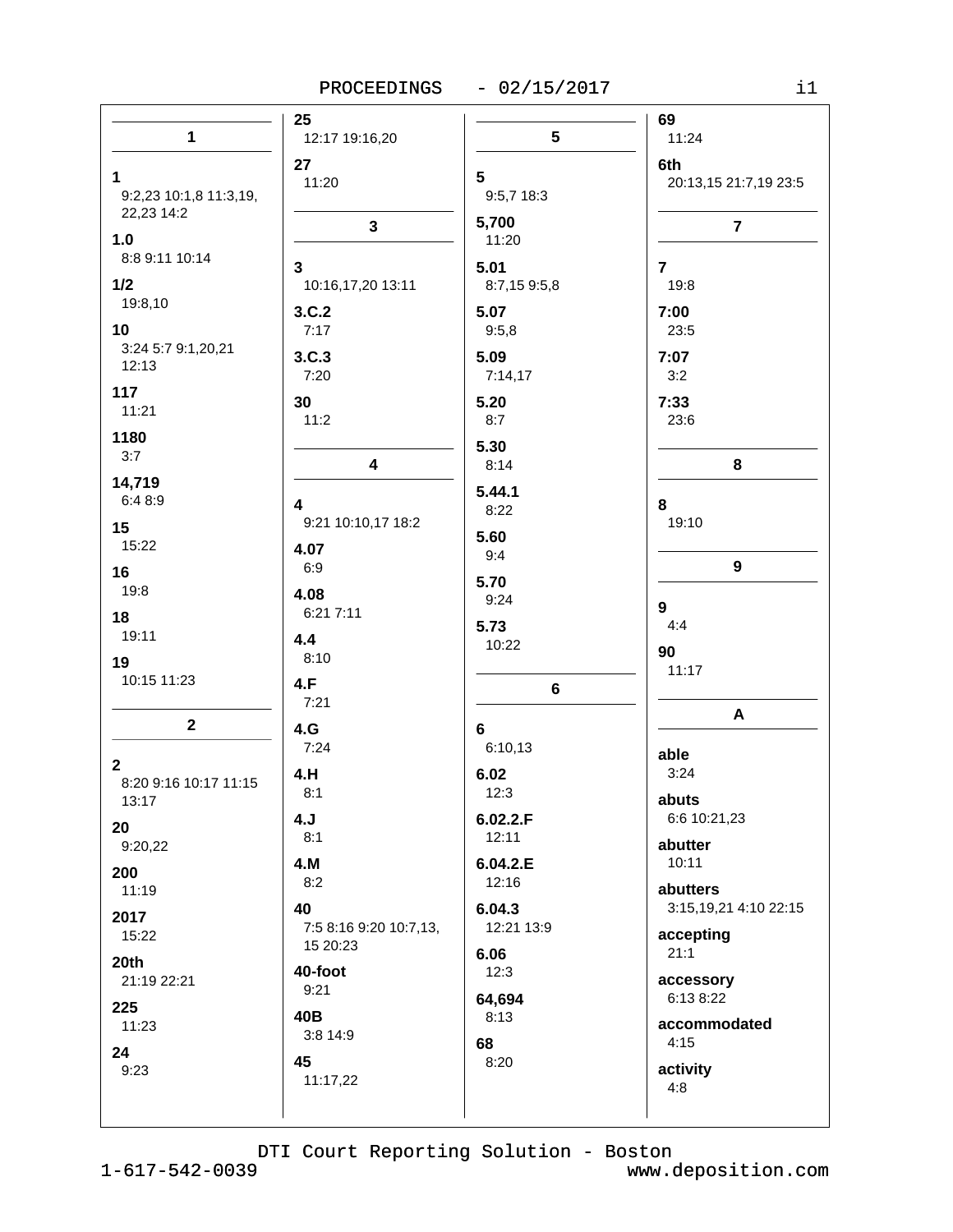|                                                | 25                                       |                              | 69                                 |
|------------------------------------------------|------------------------------------------|------------------------------|------------------------------------|
| 1                                              | 12:17 19:16,20                           | $5\phantom{.0}$              | 11:24                              |
| $\mathbf 1$<br>9:2,23 10:1,8 11:3,19,          | 27<br>11:20                              | $5\phantom{1}$<br>9:5,7 18:3 | 6th<br>20:13,15 21:7,19 23:5       |
| 22,23 14:2<br>1.0<br>8:8 9:11 10:14            | 3                                        | 5,700<br>11:20               | $\overline{7}$                     |
| 1/2<br>19:8,10                                 | 3<br>10:16,17,20 13:11<br>3.C.2          | 5.01<br>8:7,15 9:5,8<br>5.07 | $\overline{7}$<br>19:8<br>7:00     |
| 10<br>3:24 5:7 9:1,20,21<br>12:13              | 7:17<br>3.C.3                            | 9:5,8<br>5.09                | 23:5<br>7:07                       |
| 117<br>11:21                                   | 7:20<br>30                               | 7:14,17<br>5.20              | 3:2<br>7:33                        |
| 1180<br>3:7                                    | 11:2<br>4                                | 8:7<br>5.30<br>8:14          | 23:6<br>8                          |
| 14,719<br>6:48:9                               | 4                                        | 5.44.1<br>8:22               | 8                                  |
| 15<br>15:22                                    | 9:21 10:10,17 18:2<br>4.07               | 5.60<br>9:4                  | 19:10                              |
| 16<br>19:8                                     | 6:9<br>4.08<br>6:21 7:11                 | 5.70<br>9:24                 | 9<br>9                             |
| 18<br>19:11                                    | 4.4<br>8:10                              | 5.73<br>10:22                | 4:4<br>90                          |
| 19<br>10:15 11:23                              | 4.F<br>7:21                              | 6                            | 11:17                              |
| $\mathbf 2$                                    | 4.G<br>7:24                              | $6\phantom{1}$<br>6:10,13    | A<br>able                          |
| $\mathbf{2}$<br>8:20 9:16 10:17 11:15<br>13:17 | 4.H<br>8:1                               | 6.02<br>12:3                 | 3:24<br>abuts                      |
| 20<br>9:20,22                                  | 4.J<br>8:1                               | 6.02.2.F<br>12:11            | 6:6 10:21,23<br>abutter            |
| 200<br>11:19                                   | 4.M<br>8:2                               | 6.04.2.E<br>12:16            | 10:11<br>abutters                  |
| 2017<br>15:22                                  | 40<br>7:5 8:16 9:20 10:7,13,<br>15 20:23 | 6.04.3<br>12:21 13:9         | 3:15,19,21 4:10 22:15<br>accepting |
| 20th<br>21:19 22:21                            | 40-foot<br>9:21                          | 6.06<br>12:3                 | 21:1<br>accessory                  |
| 225<br>11:23                                   | 40B<br>3:8 14:9                          | 64,694<br>8:13               | 6:13 8:22<br>accommodated          |
| 24<br>9:23                                     | 45<br>11:17,22                           | 68<br>8:20                   | 4:15<br>activity<br>4:8            |
|                                                |                                          |                              |                                    |

 $1 - 617 - 542 - 0039$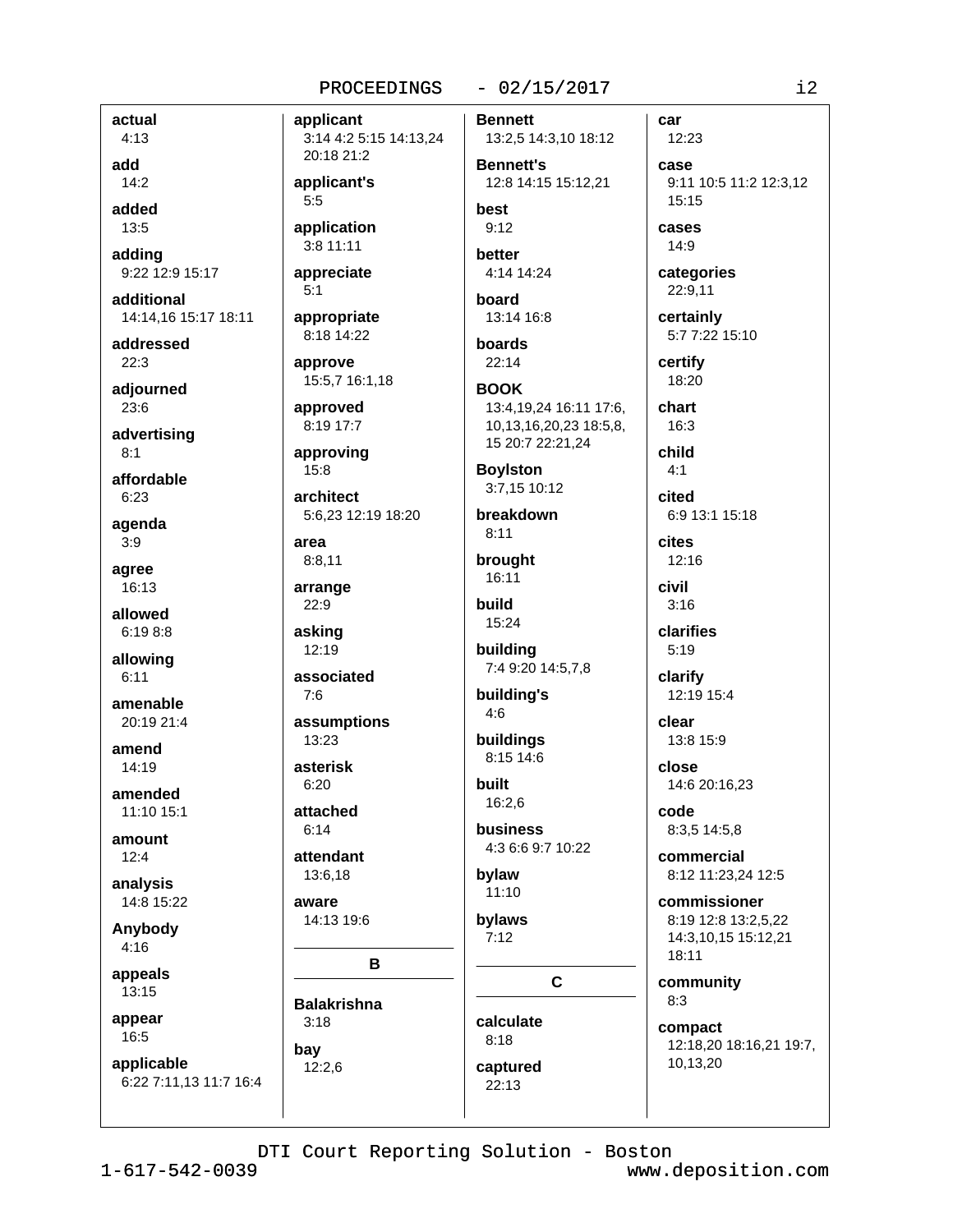## $-02/15/2017$

car

actual  $4:13$ add  $14:2$ 

added 13:5

adding 9:22 12:9 15:17

additional 14:14.16 15:17 18:11

addressed  $22:3$ 

adjourned 23:6

advertising  $8:1$ 

affordable  $6:23$ 

agenda  $3:9$ 

agree 16:13

allowed  $6:198:8$ 

allowing  $6:11$ 

amenable 20:19 21:4

amend 14:19

amended 11:10 15:1

amount  $12:4$ 

analysis 14:8 15:22

Anybody  $4:16$ 

appeals 13:15

appear

16:5

applicable 6:22 7:11,13 11:7 16:4

PROCEEDINGS applicant 3:14 4:2 5:15 14:13,24 20:18 21:2 applicant's  $5:5$ application  $3:8$  11:11 appreciate  $5:1$ appropriate 8:18 14:22 approve 15:5,7 16:1,18 approved 8:19 17:7 approving  $15:8$ architect 5:6,23 12:19 18:20 area  $8:8,11$ arrange 22:9 asking 12:19 associated  $7:6$ assumptions 13:23 asterisk  $6:20$ attached  $6:14$ attendant 13:6,18

aware 14:13 19:6

**Balakrishna** 

 $3:18$ 

 $12:2,6$ 

bay

B

**Bennett** 13:2,5 14:3,10 18:12 **Bennett's** 12:8 14:15 15:12.21 hest  $9:12$ better 4:14 14:24 board 13:14 16:8 boards  $22:14$ **BOOK** 13:4,19,24 16:11 17:6, 10,13,16,20,23 18:5,8, 15 20:7 22:21,24 **Boylston** 3:7,15 10:12 breakdown  $8:11$ brought 16:11 build 15:24 building 7:4 9:20 14:5,7,8 building's  $4:6$ buildings 8:15 14:6 built  $16:2.6$ business 4:3 6:6 9:7 10:22 bylaw  $11:10$ bylaws  $7:12$  $\mathbf{C}$ calculate  $8:18$ 

12:23 case 9:11 10:5 11:2 12:3.12  $15:15$ cases  $14:9$ categories 22:9,11 certainly 5:7 7:22 15:10 certify 18:20 chart  $16:3$ child  $4.1$ cited 6:9 13:1 15:18 **cites** 12:16 civil  $3:16$ clarifies  $5:19$ clarify 12:19 15:4 clear 13:8 15:9 close 14:6 20:16,23 code 8:3,5 14:5,8 commercial 8:12 11:23,24 12:5 commissioner 8:19 12:8 13:2.5.22 14:3,10,15 15:12,21 18:11 community  $8:3$ 

compact 12:18,20 18:16,21 19:7, 10,13,20

DTI Court Reporting Solution - Boston

captured

22:13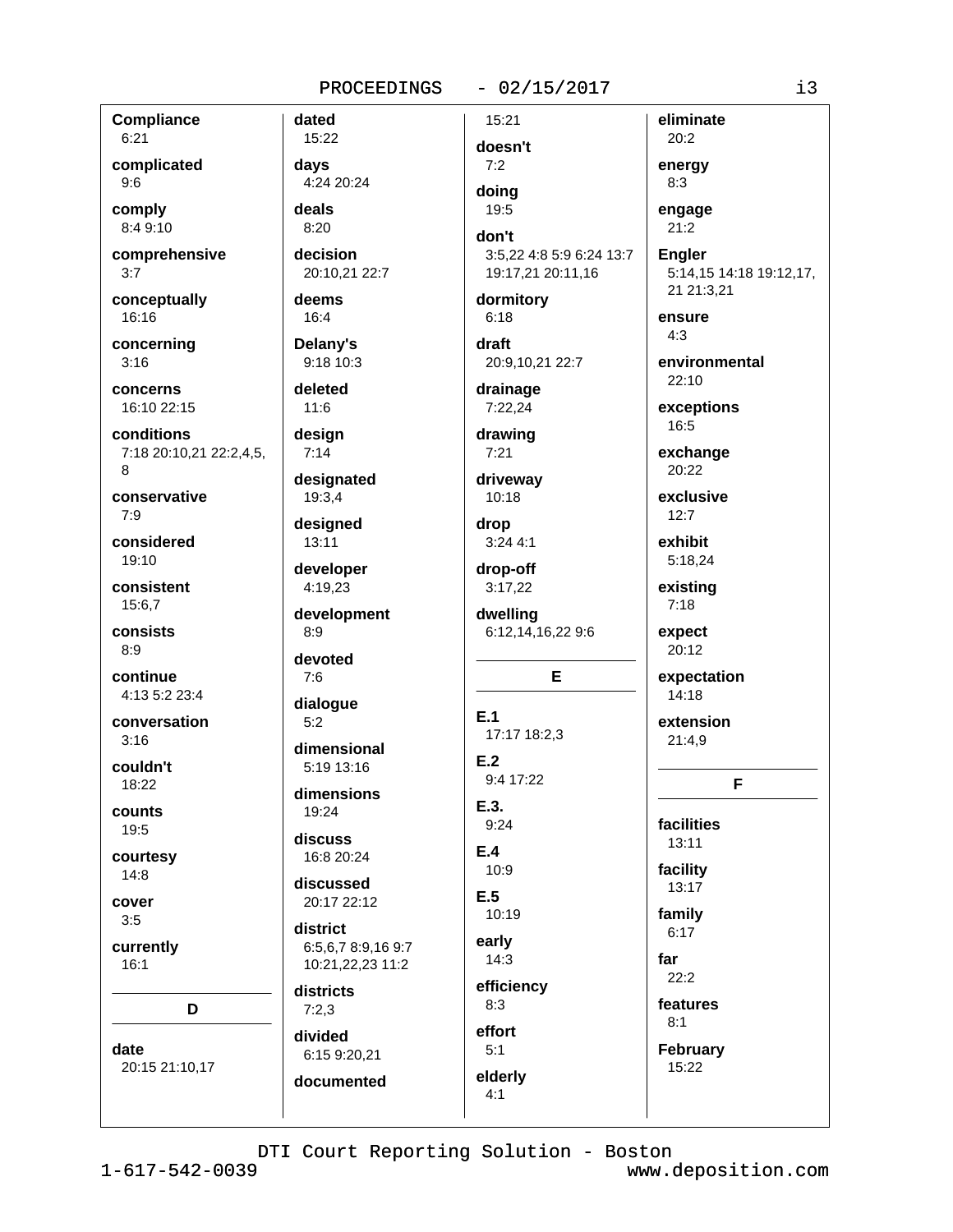# PROCEEDINGS - 02/15/2017

| <b>Compliance</b>       | dated              | 15:21                    | eliminate               |
|-------------------------|--------------------|--------------------------|-------------------------|
| 6:21                    | 15:22              | doesn't                  | 20:2                    |
| complicated             | days               | 7:2                      | energy                  |
| 9:6                     | 4:24 20:24         | doing                    | 8:3                     |
| comply                  | deals              | 19:5                     | engage                  |
| 8:4 9:10                | 8:20               | don't                    | 21:2                    |
| comprehensive           | decision           | 3:5,22 4:8 5:9 6:24 13:7 | <b>Engler</b>           |
| 3:7                     | 20:10,21 22:7      | 19:17,21 20:11,16        | 5:14,15 14:18 19:12,17, |
| conceptually            | deems              | dormitory                | 21 21:3,21              |
| 16:16                   | 16:4               | 6:18                     | ensure                  |
|                         | Delany's           | draft                    | 4:3                     |
| concerning<br>3:16      | 9:18 10:3          | 20:9,10,21 22:7          | environmental           |
|                         |                    |                          | 22:10                   |
| concerns<br>16:10 22:15 | deleted<br>11:6    | drainage<br>7:22,24      |                         |
|                         |                    |                          | exceptions<br>16:5      |
| conditions              | design             | drawing                  |                         |
| 7:18 20:10,21 22:2,4,5, | 7:14               | 7:21                     | exchange<br>20:22       |
| 8                       | designated         | driveway                 |                         |
| conservative            | 19:3,4             | 10:18                    | exclusive               |
| 7:9                     | designed           | drop                     | 12:7                    |
| considered              | 13:11              | 3:244:1                  | exhibit                 |
| 19:10                   | developer          | drop-off                 | 5:18,24                 |
| consistent              | 4:19,23            | 3:17,22                  | existing                |
| 15:6,7                  | development        | dwelling                 | 7:18                    |
| consists                | 8:9                | 6:12,14,16,22 9:6        | expect                  |
| 8:9                     | devoted            |                          | 20:12                   |
| continue                | 7:6                | E                        | expectation             |
| 4:13 5:2 23:4           |                    |                          | 14:18                   |
| conversation            | dialogue<br>5:2    | E.1                      | extension               |
| 3:16                    |                    | 17:17 18:2,3             | 21:4,9                  |
|                         | dimensional        | E.2                      |                         |
| couldn't<br>18:22       | 5:19 13:16         | 9:4 17:22                | F                       |
|                         | dimensions         |                          |                         |
| counts                  | 19:24              | E.3.<br>9:24             | facilities              |
| 19:5                    | discuss            |                          | 13:11                   |
| courtesy                | 16:8 20:24         | E.4<br>10:9              | facility                |
| 14:8                    | discussed          |                          | 13:17                   |
| cover                   | 20:17 22:12        | E.5                      |                         |
| 3:5                     | district           | 10:19                    | family<br>6:17          |
| currently               | 6:5,6,7 8:9,16 9:7 | early                    |                         |
| 16:1                    | 10:21,22,23 11:2   | 14:3                     | far                     |
|                         | districts          | efficiency               | 22:2                    |
| D                       | 7:2,3              | 8:3                      | features                |
|                         | divided            | effort                   | 8:1                     |
| date                    | 6:15 9:20,21       | 5:1                      | February                |
| 20:15 21:10,17          |                    | elderly                  | 15:22                   |
|                         | documented         | 4:1                      |                         |
|                         |                    |                          |                         |

DTI Court Reporting Solution - Boston

 $1 - 617 - 542 - 0039$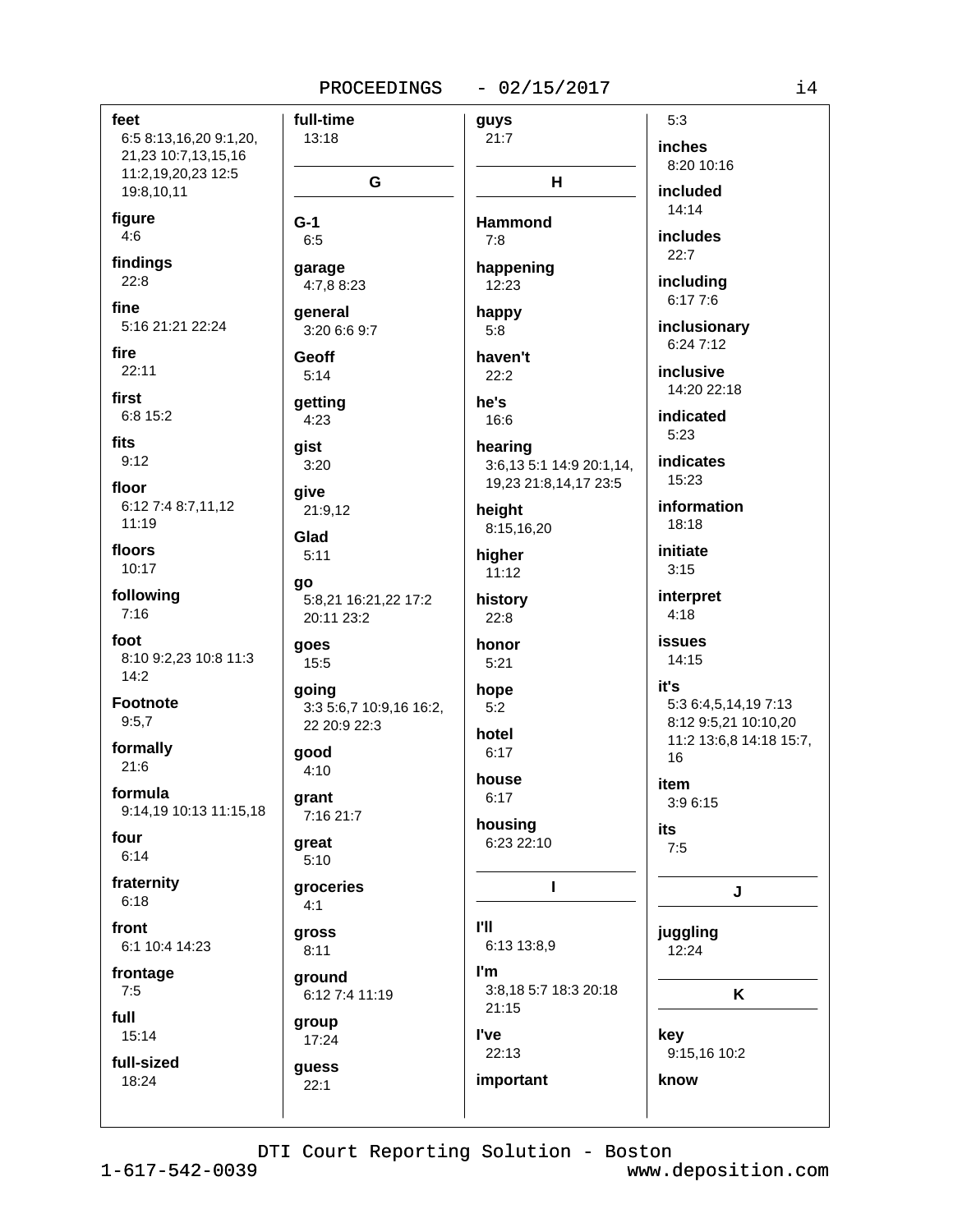| feet                                          | full-time                          | guys                           | 5:3                                             |
|-----------------------------------------------|------------------------------------|--------------------------------|-------------------------------------------------|
| 6:5 8:13,16,20 9:1,20,<br>21,23 10:7,13,15,16 | 13:18                              | 21:7                           | inches                                          |
| 11:2,19,20,23 12:5                            | G                                  | H                              | 8:20 10:16                                      |
| 19:8,10,11                                    |                                    |                                | included                                        |
| figure                                        | $G-1$                              | <b>Hammond</b>                 | 14:14                                           |
| 4:6                                           | 6:5                                | 7:8                            | includes<br>22:7                                |
| findings                                      | garage                             | happening                      |                                                 |
| 22:8                                          | 4:7,8 8:23                         | 12:23                          | including<br>6:17 7:6                           |
| fine<br>5:16 21:21 22:24                      | general                            | happy                          | inclusionary                                    |
|                                               | 3:20 6:6 9:7                       | 5:8                            | 6:24 7:12                                       |
| fire<br>22:11                                 | Geoff<br>5:14                      | haven't<br>22:2                | inclusive                                       |
| first                                         |                                    |                                | 14:20 22:18                                     |
| 6:8 15:2                                      | getting<br>4:23                    | he's<br>16:6                   | indicated                                       |
| fits                                          | gist                               | hearing                        | 5:23                                            |
| 9:12                                          | 3:20                               | 3:6,13 5:1 14:9 20:1,14,       | indicates                                       |
| floor                                         | give                               | 19,23 21:8,14,17 23:5          | 15:23                                           |
| 6:12 7:4 8:7,11,12                            | 21:9,12                            | height                         | information                                     |
| 11:19                                         | Glad                               | 8:15,16,20                     | 18:18                                           |
| floors<br>10:17                               | 5:11                               | higher                         | initiate<br>3:15                                |
|                                               | qo                                 | 11:12                          |                                                 |
| following<br>7:16                             | 5:8,21 16:21,22 17:2<br>20:11 23:2 | history<br>22:8                | interpret<br>4:18                               |
| foot                                          |                                    |                                | <b>issues</b>                                   |
| 8:10 9:2,23 10:8 11:3                         | goes<br>15:5                       | honor<br>5:21                  | 14:15                                           |
| 14:2                                          | going                              | hope                           | it's                                            |
| <b>Footnote</b>                               | 3:3 5:6,7 10:9,16 16:2,            | 5:2                            | 5:3 6:4,5,14,19 7:13                            |
| 9:5,7                                         | 22 20:9 22:3                       | hotel                          | 8:12 9:5,21 10:10,20<br>11:2 13:6,8 14:18 15:7, |
| formally                                      | good                               | 6:17                           | 16                                              |
| 21:6                                          | 4:10                               | house                          | item                                            |
| formula<br>9:14,19 10:13 11:15,18             | grant                              | 6:17                           | 3:9 6:15                                        |
| four                                          | 7:16 21:7                          | housing                        | its                                             |
| 6:14                                          | great<br>5:10                      | 6:23 22:10                     | 7:5                                             |
| fraternity                                    | groceries                          | Т                              |                                                 |
| 6:18                                          | 4:1                                |                                | J                                               |
| front                                         | gross                              | <b>I'll</b>                    | juggling                                        |
| 6:1 10:4 14:23                                | 8:11                               | 6:13 13:8,9                    | 12:24                                           |
| frontage                                      | ground                             | l'm                            |                                                 |
| 7:5                                           | 6:12 7:4 11:19                     | 3:8,18 5:7 18:3 20:18<br>21:15 | K                                               |
| full<br>15:14                                 | group                              | l've                           | key                                             |
|                                               | 17:24                              | 22:13                          | 9:15,16 10:2                                    |
| full-sized<br>18:24                           | guess<br>22:1                      | important                      | know                                            |
|                                               |                                    |                                |                                                 |
|                                               |                                    |                                |                                                 |

 $1 - 617 - 542 - 0039$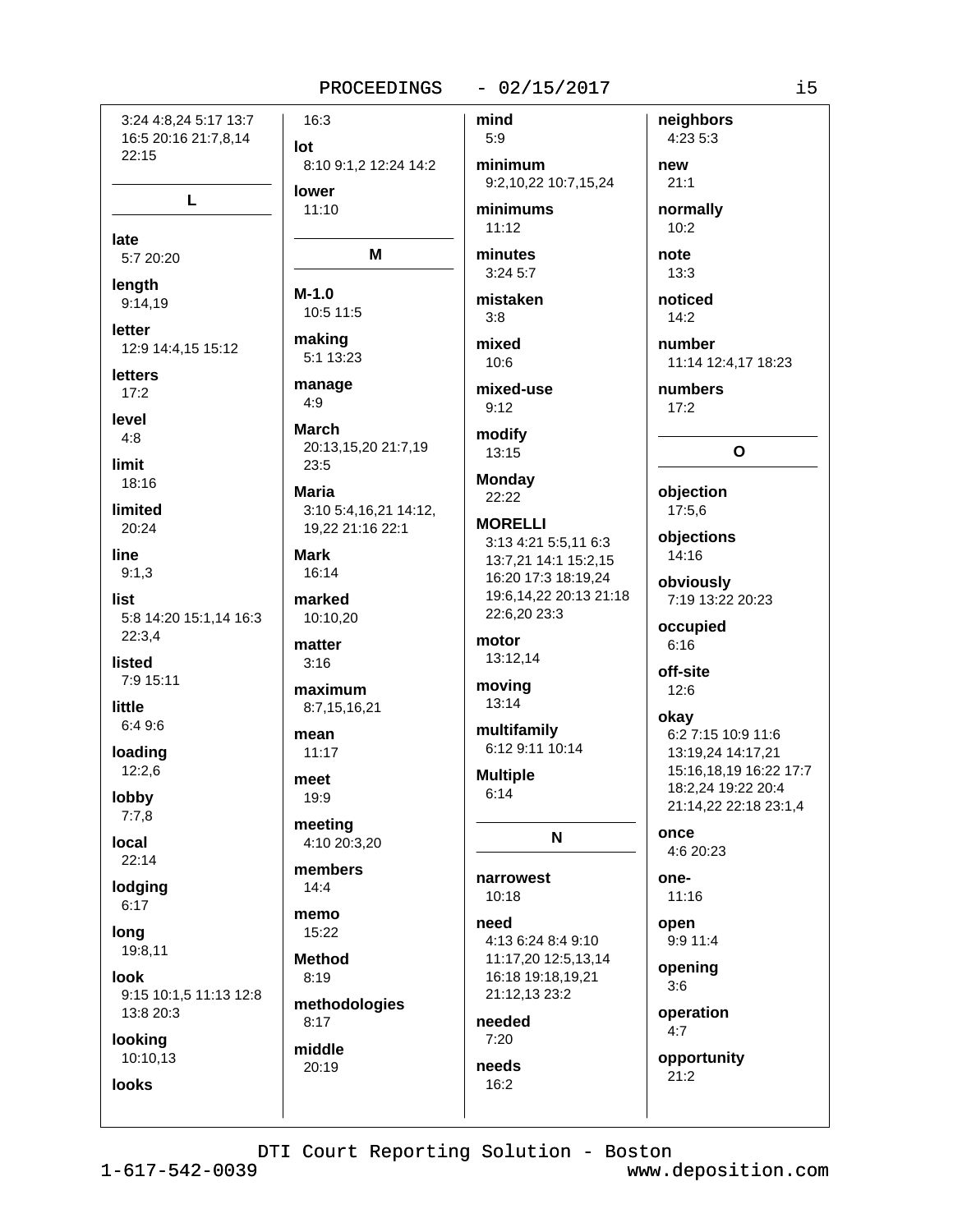# $-02/15/2017$

22:15 L late 5:7 20:20 lenath 9:14,19 letter 12:9 14:4,15 15:12 letters  $17:2$ level  $4:8$ limit 18:16 limited 20:24 line  $9:1.3$ list 5:8 14:20 15:1,14 16:3  $22:3,4$ listed 7:9 15:11 little 6:4 9:6 loading  $12:2,6$ lobby  $7:7.8$ local  $22:14$ lodging  $6:17$ long 19:8,11 look 9:15 10:1,5 11:13 12:8 13:8 20:3 looking 10:10,13 **looks** 

3:24 4:8.24 5:17 13:7

16:5 20:16 21:7,8,14

mind 16:3  $5:9$ lot 8:10 9:1,2 12:24 14:2 minimum 9:2,10,22 10:7,15,24 lower  $11:10$ minimums  $11:12$ M minutes  $3:24.5:7$  $M-1.0$ mistaken 10:5 11:5  $3:8$ making mixed 5:1 13:23  $10:6$ manage mixed-use  $4:9$  $9:12$ **March** modify 20:13.15.20 21:7.19 13:15  $23:5$ **Monday Maria** 22:22 3:10 5:4,16,21 14:12, **MORELLI** 19,22 21:16 22:1 3:13 4:21 5:5.11 6:3 **Mark** 13:7,21 14:1 15:2,15  $16.14$ 16:20 17:3 18:19,24 marked 22:6,20 23:3 10:10,20 motor matter 13:12,14  $3:16$ moving maximum 13:14 8:7,15,16,21 multifamily mean 6:12 9:11 10:14  $11:17$ **Multiple** meet  $6:14$  $19:9$ meeting N 4:10 20:3.20 members narrowest  $14:4$  $10:18$ memo need 15:22 4:13 6:24 8:4 9:10 **Method** 11:17,20 12:5,13,14  $8:19$ 16:18 19:18,19,21 21:12,13 23:2 methodologies needed  $8:17$  $7:20$ middle 20:19 needs  $16:2$ 

neighbors 4:23 5:3 new  $21:1$ normally  $10:2$ note  $13:3$ noticed  $14:2$ number 11:14 12:4,17 18:23 numbers  $17:2$  $\Omega$ objection 17:5,6 objections 14:16 obviously 19:6.14.22 20:13 21:18 7:19 13:22 20:23 occupied  $6:16$ off-site 12:6 okay 6:2 7:15 10:9 11:6 13:19,24 14:17,21 15:16,18,19 16:22 17:7 18:2,24 19:22 20:4 21:14,22 22:18 23:1,4 once 4:6 20:23 one- $11:16$ open 9:9 11:4 opening  $3:6$ operation  $4:7$ opportunity  $21:2$ 

DTI Court Reporting Solution - Boston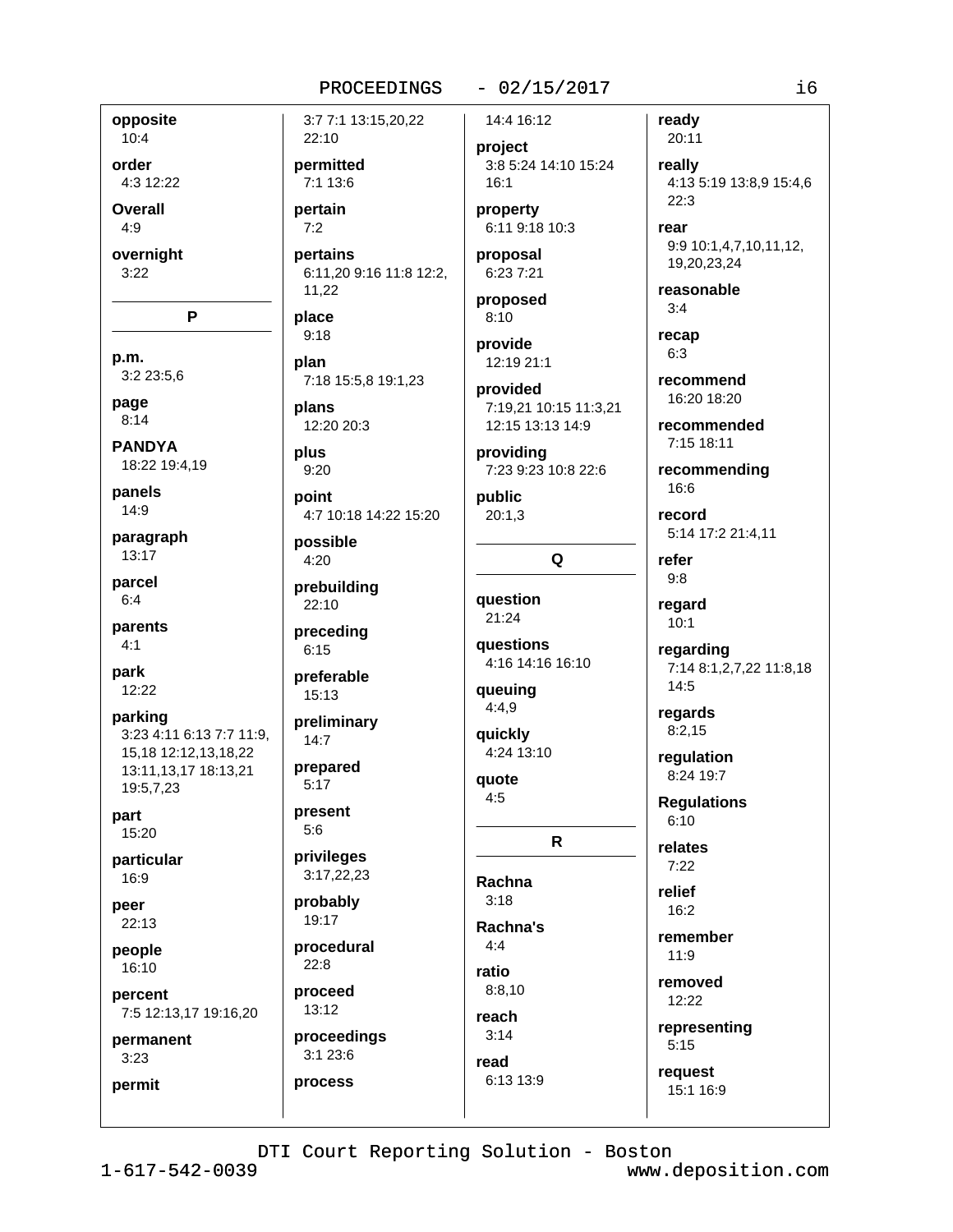# $-02/15/2017$

opposite  $10:4$ 

order 4:3 12:22

Overall

 $4:9$ 

overnight  $3:22$ 

P

p.m. 3:2 23:5,6

page  $8:14$ 

**PANDYA** 18:22 19:4,19

panels 14:9

paragraph  $13:17$ 

parcel  $6:4$ 

parents

 $4:1$ 

park 12:22

parking 3:23 4:11 6:13 7:7 11:9, 15.18 12:12.13.18.22 13:11,13,17 18:13,21 19:5,7,23

part 15:20

particular 16:9

peer 22:13

people

16:10 percent

7:5 12:13,17 19:16,20

permanent  $3:23$ 

permit

3:7 7:1 13:15,20,22 22:10 permitted 3:8 5:24 14:10 15:24 7:1 13:6 pertain  $7:2$ pertains 6:11.20 9:16 11:8 12:2. 11,22 proposed place  $9:18$ provide plan 7:18 15:5,8 19:1,23 plans 12:20 20:3 plus  $9:20$ point 4:7 10:18 14:22 15:20 possible  $4:20$ prebuilding 22:10 preceding  $6:15$ preferable  $15:13$ preliminary  $14:7$ prepared  $5:17$ present  $5:6$ privileges 3:17,22,23 probably 19:17 procedural  $22:8$ ratio proceed 13:12

14:4 16:12 project

 $16:1$ property 6:11 9:18 10:3

proposal

6:23 7:21

 $8:10$ 

12:19 21:1

provided 7:19,21 10:15 11:3,21 12:15 13:13 14:9

providina 7:23 9:23 10:8 22:6

public  $20:1,3$ 

Q

question  $21:24$ **auestions** 

4:16 14:16 16:10

queuing  $4:4,9$ 

quickly 4:24 13:10

quote  $4:5$ 

 $\mathsf{R}$ Rachna  $3:18$ 

Rachna's  $4:4$  $8:8.10$ reach  $3:14$ 

ready 20:11 really 4:13 5:19 13:8,9 15:4,6  $22:3$ 

rear 9:9 10:1,4,7,10,11,12, 19,20,23,24

reasonable  $3:4$ 

recap  $6:3$ 

recommend 16:20 18:20

recommended 7:15 18:11

recommending 16:6

record 5:14 17:2 21:4,11

refer  $9:8$ 

regard  $10:1$ 

regarding 7:14 8:1,2,7,22 11:8,18  $14:5$ 

regards  $8:2,15$ 

regulation 8:24 19:7

**Requlations**  $6:10$ 

relates  $7:22$ 

relief 16:2

remember  $11:9$ 

removed

12:22 representing

 $5:15$ 

request 15:1 16:9

DTI Court Reporting Solution - Boston

read

6:13 13:9

proceedings

 $3:123:6$ 

process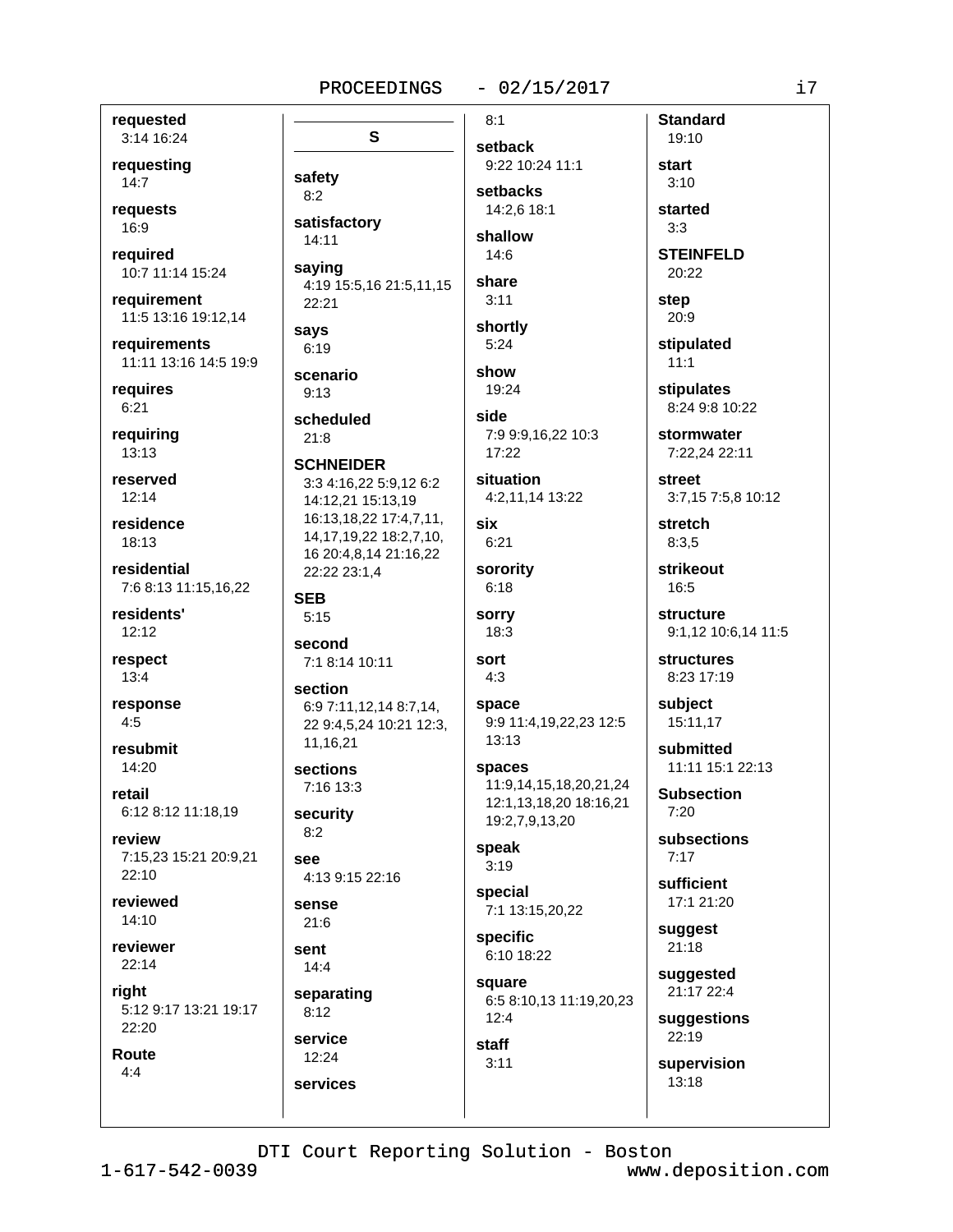#### $-02/15/2017$

requested 3:14 16:24

requesting  $14:7$ 

requests 16:9

reauired 10:7 11:14 15:24

requirement 11:5 13:16 19:12,14

requirements 11:11 13:16 14:5 19:9

requires  $6:21$ 

requiring  $13:13$ 

reserved  $12:14$ 

residence 18:13

residential 7:6 8:13 11:15,16,22

residents'  $12:12$ 

respect  $13:4$ 

response  $4:5$ 

resubmit 14:20

retail 6:12 8:12 11:18,19

review 7:15,23 15:21 20:9,21  $22:10$ 

reviewed 14:10

reviewer  $22:14$ 

right 5:12 9:17 13:21 19:17 22:20

Route  $4:4$ 

 $8:1$ S safety  $8:2$ satisfactory 14:11 saying 4:19 15:5,16 21:5,11,15 22:21 says  $6:19$ show scenario  $9:13$ scheduled side  $21:8$ **SCHNEIDER** 3:3 4:16,22 5:9,12 6:2 14:12,21 15:13,19 16:13,18,22 17:4,7,11, six 14, 17, 19, 22 18: 2, 7, 10, 16 20:4,8,14 21:16,22 22:22 23:1,4 **SEB**  $5:15$ second sort 7:1 8:14 10:11  $4:3$ section 6:9 7:11.12.14 8:7.14. 22 9:4,5,24 10:21 12:3,  $13:13$ 11,16,21 sections 7:16 13:3 security  $8:2$ 

 $4.139.1522.16$ 

sense  $21:6$ 

see

sent  $14:4$ 

separating  $8:12$ service

 $12:24$ services setback 9:22 10:24 11:1 setbacks 14:2.6 18:1

shallow  $14:6$ 

share  $3:11$ 

shortly  $5:24$ 

19:24

7:9 9:9,16,22 10:3  $17:22$ 

situation 4:2,11,14 13:22

 $6:21$ 

sorority  $6:18$ 

sorry 18:3

space 9:9 11:4,19,22,23 12:5

> spaces 11:9.14.15.18.20.21.24 12:1,13,18,20 18:16,21 19:2,7,9,13,20

speak  $3:19$ 

special 7:1 13:15,20,22

specific 6:10 18:22

 $3:11$ 

square 6:5 8:10,13 11:19,20,23  $12:4$ staff

started  $3:3$ **STEINFELD** 

**Standard** 

19:10

start

 $3:10$ 

20:22

step 20:9

stipulated  $11:1$ 

**stipulates** 8:24 9:8 10:22

stormwater 7:22.24 22:11

street 3:7,15 7:5,8 10:12

stretch  $8:3.5$ 

strikeout 16:5

structure 9:1,12 10:6,14 11:5

**structures** 8:23 17:19

subject 15:11.17

> submitted 11:11 15:1 22:13

**Subsection**  $7.20$ 

subsections  $7:17$ 

sufficient 17:1 21:20

suggest  $21:18$ 

suggested 21:17 22:4

suggestions 22:19

supervision  $13:18$ 

DTI Court Reporting Solution - Boston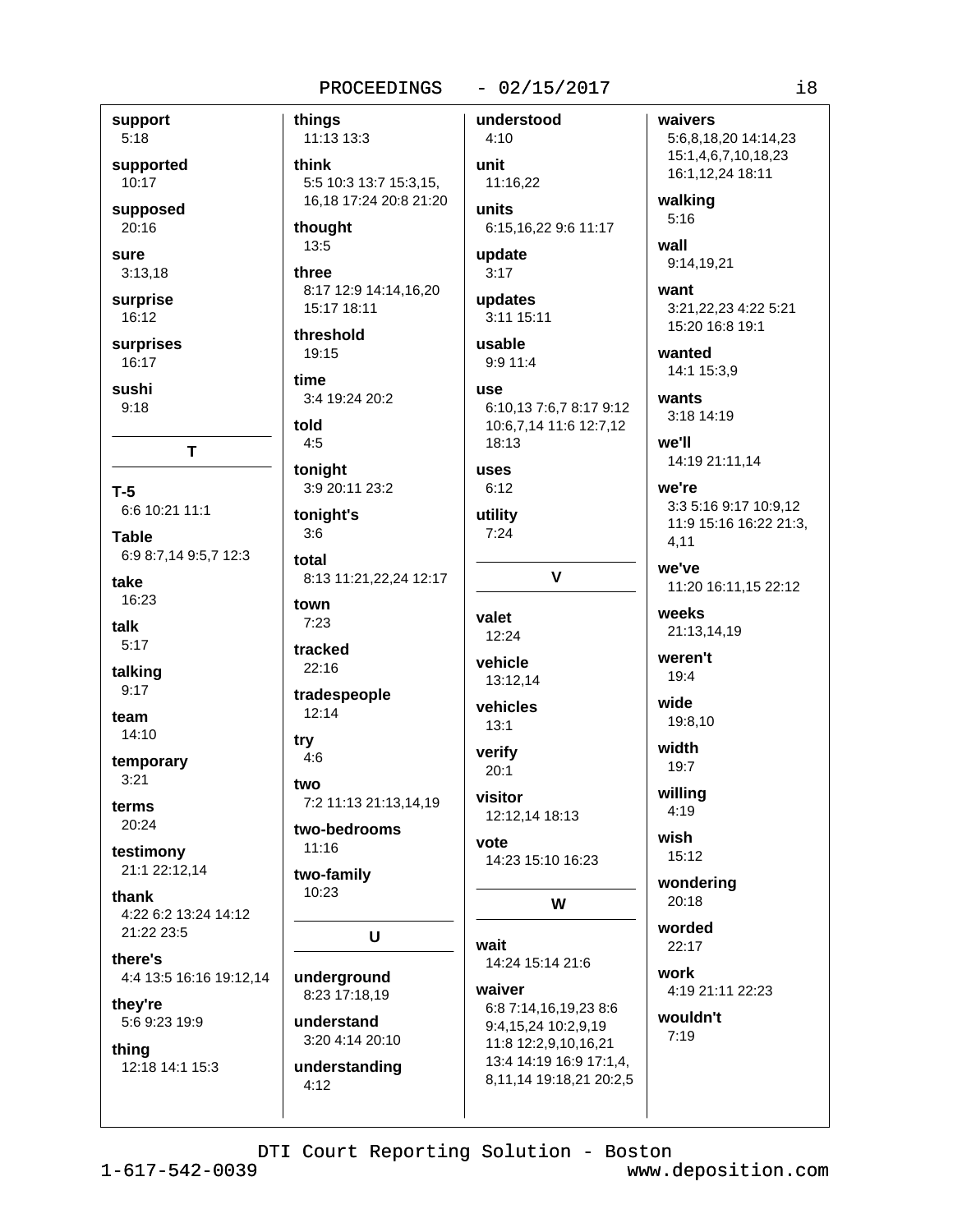## $-02/15/2017$

support  $5:18$ supported

10:17 supposed

20:16

sure  $3:13,18$ 

surprise

16:12 surprises

16:17 sushi

 $9:18$ 

 $T-5$ 6:6 10:21 11:1

**Table** 6:9 8:7,14 9:5,7 12:3

T

take 16:23

talk  $5:17$ 

talking

 $9:17$ 

team  $14:10$ 

temporary

 $3:21$ terms

20:24

testimony 21:1 22:12,14

thank 4:22 6:2 13:24 14:12 21:22 23:5

there's 4:4 13:5 16:16 19:12,14

thev're 5:6 9:23 19:9

thing 12:18 14:1 15:3 things 11:13 13:3 think 5:5 10:3 13:7 15:3.15. 16,18 17:24 20:8 21:20 thought  $13:5$ 

three 8:17 12:9 14:14,16,20 15:17 18:11

threshold 19:15

time 3:4 19:24 20:2

told  $4:5$ 

tonight 3:9 20:11 23:2

tonight's  $3:6$ 

total 8:13 11:21, 22, 24 12:17

town  $7:23$ 

tracked  $22:16$ 

tradespeople  $12:14$ 

try

 $4:6$ two 7:2 11:13 21:13,14,19

two-bedrooms  $11:16$ 

two-family 10:23

U

underground 8:23 17:18,19

understand 3:20 4:14 20:10

understanding  $4:12$ 

 $4:10$ unit 11:16.22 units 6:15,16,22 9:6 11:17

update

 $3:17$ updates

understood

3:11 15:11

# usable 9:9 11:4

6:10.13 7:6.7 8:17 9:12 10:6,7,14 11:6 12:7,12 18:13

# uses

**USA** 

 $6:12$ utility

 $7:24$ 

 $\mathbf{V}$ 

valet 12:24

vehicle 13:12,14

vehicles

 $13:1$ verify

 $20:1$ visitor 12:12,14 18:13

vote 14:23 15:10 16:23

W

wait 14:24 15:14 21:6

waiver 6:8 7:14,16,19,23 8:6 9:4,15,24 10:2,9,19 11:8 12:2,9,10,16,21 13:4 14:19 16:9 17:1,4, 8,11,14 19:18,21 20:2,5 waivers 5:6,8,18,20 14:14,23 15:1,4,6,7,10,18,23 16:1.12.24 18:11

walking  $5:16$ 

wall

9:14.19.21

want 3:21,22,23 4:22 5:21 15:20 16:8 19:1

wanted 14:1 15:3.9

wants  $3:18$  14:19

4,11

we'll 14:19 21:11,14

we're 3:3 5:16 9:17 10:9.12 11:9 15:16 16:22 21:3,

we've

11:20 16:11,15 22:12 weeks

21:13,14,19

weren't 19:4

wide 19:8,10

width  $19:7$ 

willing  $4:19$ 

wish

15:12

wondering  $20:18$ 

worded

 $22.17$ work

4:19 21:11 22:23

wouldn't  $7:19$